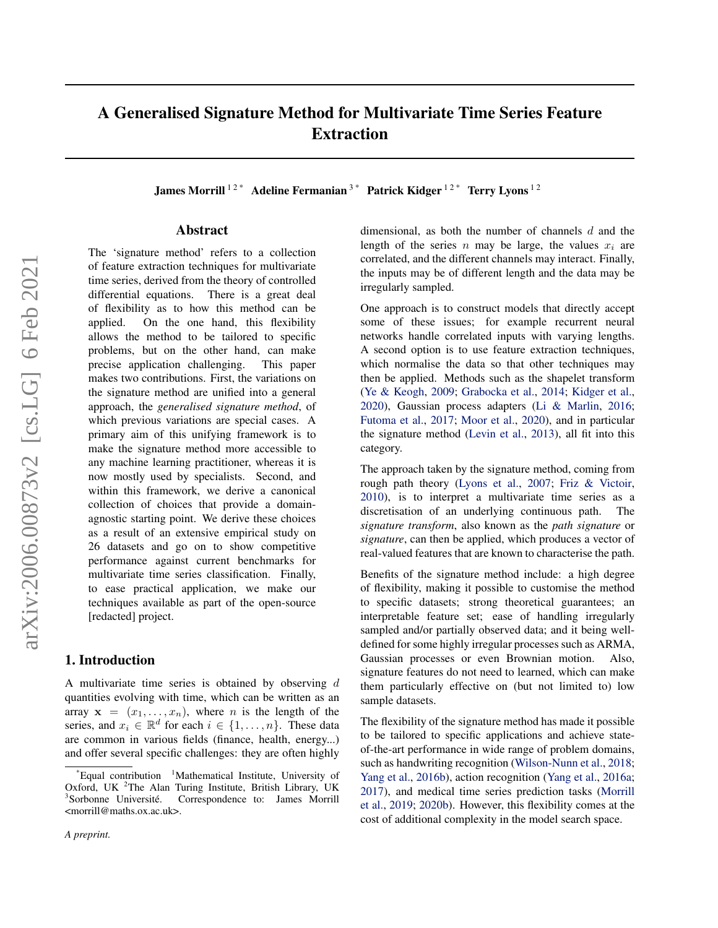# A Generalised Signature Method for Multivariate Time Series Feature Extraction

James Morrill<sup>12\*</sup> Adeline Fermanian<sup>3\*</sup> Patrick Kidger<sup>12\*</sup> Terry Lyons<sup>12</sup>

#### Abstract

The 'signature method' refers to a collection of feature extraction techniques for multivariate time series, derived from the theory of controlled differential equations. There is a great deal of flexibility as to how this method can be applied. On the one hand, this flexibility allows the method to be tailored to specific problems, but on the other hand, can make precise application challenging. This paper makes two contributions. First, the variations on the signature method are unified into a general approach, the *generalised signature method*, of which previous variations are special cases. A primary aim of this unifying framework is to make the signature method more accessible to any machine learning practitioner, whereas it is now mostly used by specialists. Second, and within this framework, we derive a canonical collection of choices that provide a domainagnostic starting point. We derive these choices as a result of an extensive empirical study on 26 datasets and go on to show competitive performance against current benchmarks for multivariate time series classification. Finally, to ease practical application, we make our techniques available as part of the open-source [redacted] project.

#### 1. Introduction

A multivariate time series is obtained by observing d quantities evolving with time, which can be written as an array  $x = (x_1, \ldots, x_n)$ , where *n* is the length of the series, and  $x_i \in \mathbb{R}^d$  for each  $i \in \{1, \ldots, n\}$ . These data are common in various fields (finance, health, energy...) and offer several specific challenges: they are often highly dimensional, as both the number of channels  $d$  and the length of the series n may be large, the values  $x_i$  are correlated, and the different channels may interact. Finally, the inputs may be of different length and the data may be irregularly sampled.

One approach is to construct models that directly accept some of these issues; for example recurrent neural networks handle correlated inputs with varying lengths. A second option is to use feature extraction techniques, which normalise the data so that other techniques may then be applied. Methods such as the shapelet transform [\(Ye & Keogh,](#page-10-0) [2009;](#page-10-0) [Grabocka et al.,](#page-8-0) [2014;](#page-8-0) [Kidger et al.,](#page-8-0) [2020\)](#page-8-0), Gaussian process adapters [\(Li & Marlin,](#page-9-0) [2016;](#page-9-0) [Futoma et al.,](#page-8-0) [2017;](#page-8-0) [Moor et al.,](#page-9-0) [2020\)](#page-9-0), and in particular the signature method [\(Levin et al.,](#page-8-0) [2013\)](#page-8-0), all fit into this category.

The approach taken by the signature method, coming from rough path theory [\(Lyons et al.,](#page-9-0) [2007;](#page-9-0) [Friz & Victoir,](#page-8-0) [2010\)](#page-8-0), is to interpret a multivariate time series as a discretisation of an underlying continuous path. The *signature transform*, also known as the *path signature* or *signature*, can then be applied, which produces a vector of real-valued features that are known to characterise the path.

Benefits of the signature method include: a high degree of flexibility, making it possible to customise the method to specific datasets; strong theoretical guarantees; an interpretable feature set; ease of handling irregularly sampled and/or partially observed data; and it being welldefined for some highly irregular processes such as ARMA, Gaussian processes or even Brownian motion. Also, signature features do not need to learned, which can make them particularly effective on (but not limited to) low sample datasets.

The flexibility of the signature method has made it possible to be tailored to specific applications and achieve stateof-the-art performance in wide range of problem domains, such as handwriting recognition [\(Wilson-Nunn et al.,](#page-9-0) [2018;](#page-9-0) [Yang et al.,](#page-10-0) [2016b\)](#page-10-0), action recognition [\(Yang et al.,](#page-10-0) [2016a;](#page-10-0) [2017\)](#page-10-0), and medical time series prediction tasks [\(Morrill](#page-9-0) [et al.,](#page-9-0) [2019;](#page-9-0) [2020b\)](#page-9-0). However, this flexibility comes at the cost of additional complexity in the model search space.

 $E$ qual contribution  $1$ Mathematical Institute, University of Oxford, UK <sup>2</sup>The Alan Turing Institute, British Library, UK <sup>3</sup>Sorbonne Université. Correspondence to: James Morrill <morrill@maths.ox.ac.uk>.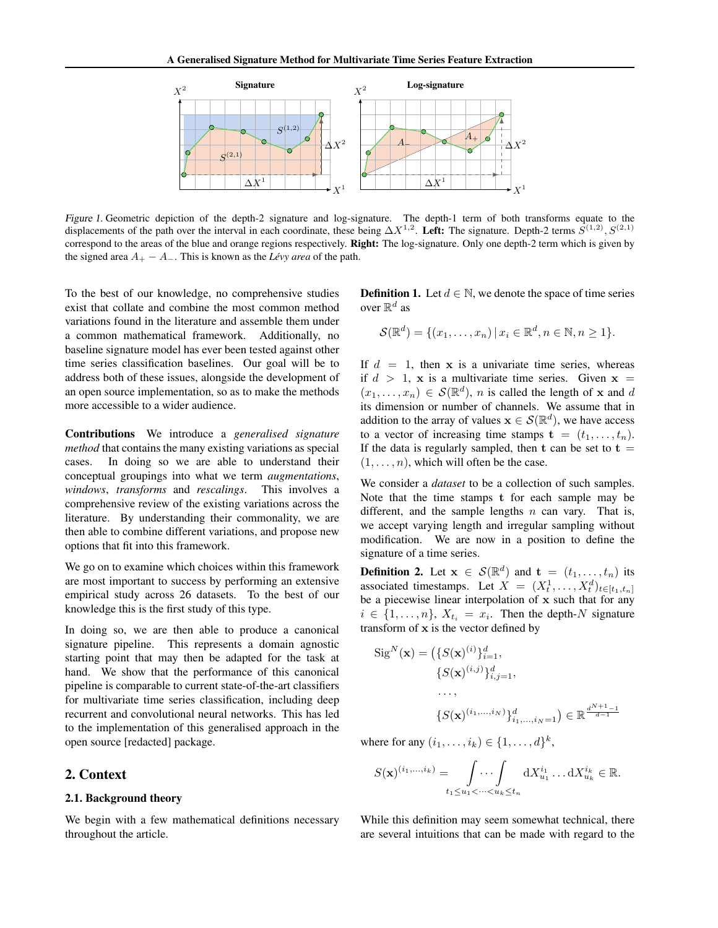<span id="page-1-0"></span>

Figure 1. Geometric depiction of the depth-2 signature and log-signature. The depth-1 term of both transforms equate to the displacements of the path over the interval in each coordinate, these being  $\Delta X^{1,2}$ . Left: The signature. Depth-2 terms  $S^{(1,2)}$ ,  $S^{(2,1)}$ correspond to the areas of the blue and orange regions respectively. **Right:** The log-signature. Only one depth-2 term which is given by the signed area  $A_+ - A_-$ . This is known as the *Lévy area* of the path.

To the best of our knowledge, no comprehensive studies exist that collate and combine the most common method variations found in the literature and assemble them under a common mathematical framework. Additionally, no baseline signature model has ever been tested against other time series classification baselines. Our goal will be to address both of these issues, alongside the development of an open source implementation, so as to make the methods more accessible to a wider audience.

Contributions We introduce a *generalised signature method* that contains the many existing variations as special cases. In doing so we are able to understand their conceptual groupings into what we term *augmentations*, *windows*, *transforms* and *rescalings*. This involves a comprehensive review of the existing variations across the literature. By understanding their commonality, we are then able to combine different variations, and propose new options that fit into this framework.

We go on to examine which choices within this framework are most important to success by performing an extensive empirical study across 26 datasets. To the best of our knowledge this is the first study of this type.

In doing so, we are then able to produce a canonical signature pipeline. This represents a domain agnostic starting point that may then be adapted for the task at hand. We show that the performance of this canonical pipeline is comparable to current state-of-the-art classifiers for multivariate time series classification, including deep recurrent and convolutional neural networks. This has led to the implementation of this generalised approach in the open source [redacted] package.

#### 2. Context

#### 2.1. Background theory

We begin with a few mathematical definitions necessary throughout the article.

**Definition 1.** Let  $d \in \mathbb{N}$ , we denote the space of time series over  $\mathbb{R}^d$  as

$$
\mathcal{S}(\mathbb{R}^d) = \{(x_1, \ldots, x_n) \, | \, x_i \in \mathbb{R}^d, n \in \mathbb{N}, n \ge 1\}.
$$

If  $d = 1$ , then x is a univariate time series, whereas if  $d > 1$ , x is a multivariate time series. Given  $x =$  $(x_1, \ldots, x_n) \in \mathcal{S}(\mathbb{R}^d)$ , *n* is called the length of **x** and *d* its dimension or number of channels. We assume that in addition to the array of values  $\mathbf{x} \in \mathcal{S}(\mathbb{R}^d)$ , we have access to a vector of increasing time stamps  $\mathbf{t} = (t_1, \ldots, t_n)$ . If the data is regularly sampled, then  $t$  can be set to  $t =$  $(1, \ldots, n)$ , which will often be the case.

We consider a *dataset* to be a collection of such samples. Note that the time stamps t for each sample may be different, and the sample lengths  $n$  can vary. That is, we accept varying length and irregular sampling without modification. We are now in a position to define the signature of a time series.

**Definition 2.** Let  $\mathbf{x} \in \mathcal{S}(\mathbb{R}^d)$  and  $\mathbf{t} = (t_1, \ldots, t_n)$  its associated timestamps. Let  $X = (X_t^1, \dots, X_t^d)_{t \in [t_1, t_n]}$ be a piecewise linear interpolation of  $x$  such that for any  $i \in \{1, \ldots, n\}, X_{t_i} = x_i$ . Then the depth-N signature transform of x is the vector defined by

$$
SigN(x) = (\{S(x)(i)\}_{i=1}^{d}, \n\{S(x)(i,j)\}_{i,j=1}^{d}, \n..., \n\{S(x)(i1,...,iN)\}_{i1,...,iN=1) \in \mathbb{R}^{\frac{d^{N+1}-1}{d-1}} \}
$$

where for any  $(i_1, ..., i_k) \in \{1, ..., d\}^k$ ,

$$
S(\mathbf{x})^{(i_1,\ldots,i_k)} = \int \ldots \int \ldots \int dX_{u_1}^{i_1} \ldots dX_{u_k}^{i_k} \in \mathbb{R}.
$$
  

$$
t_1 \leq u_1 < \cdots < u_k \leq t_n
$$

While this definition may seem somewhat technical, there are several intuitions that can be made with regard to the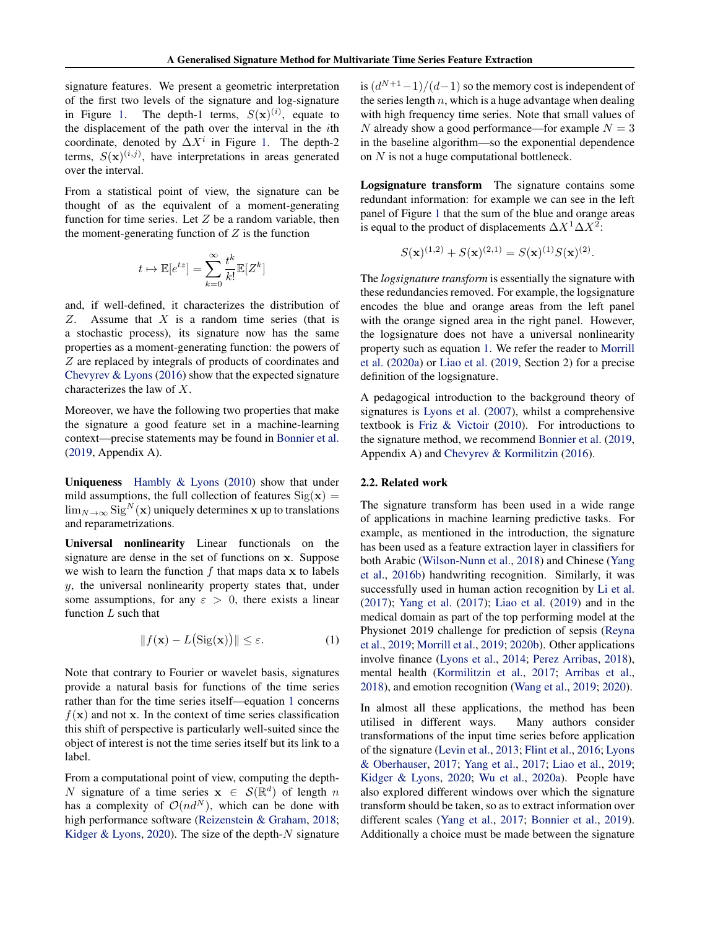signature features. We present a geometric interpretation of the first two levels of the signature and log-signature in Figure [1.](#page-1-0) The depth-1 terms,  $S(\mathbf{x})^{(i)}$ , equate to the displacement of the path over the interval in the ith coordinate, denoted by  $\Delta X^i$  in Figure [1.](#page-1-0) The depth-2 terms,  $S(\mathbf{x})^{(i,j)}$ , have interpretations in areas generated over the interval.

From a statistical point of view, the signature can be thought of as the equivalent of a moment-generating function for time series. Let  $Z$  be a random variable, then the moment-generating function of  $Z$  is the function

$$
t\mapsto \mathbb{E}[e^{tz}]=\sum_{k=0}^\infty \frac{t^k}{k!}\mathbb{E}[Z^k]
$$

and, if well-defined, it characterizes the distribution of  $Z$ . Assume that  $X$  is a random time series (that is a stochastic process), its signature now has the same properties as a moment-generating function: the powers of Z are replaced by integrals of products of coordinates and [Chevyrev & Lyons](#page-8-0) [\(2016\)](#page-8-0) show that the expected signature characterizes the law of X.

Moreover, we have the following two properties that make the signature a good feature set in a machine-learning context—precise statements may be found in [Bonnier et al.](#page-8-0) [\(2019,](#page-8-0) Appendix A).

**Uniqueness** Hambly  $\&$  Lyons [\(2010\)](#page-8-0) show that under mild assumptions, the full collection of features  $\text{Sig}(\mathbf{x}) =$  $\lim_{N\to\infty}$  Sig<sup>N</sup>(**x**) uniquely determines **x** up to translations and reparametrizations.

Universal nonlinearity Linear functionals on the signature are dense in the set of functions on x. Suppose we wish to learn the function  $f$  that maps data x to labels  $y$ , the universal nonlinearity property states that, under some assumptions, for any  $\varepsilon > 0$ , there exists a linear function  $L$  such that

$$
||f(\mathbf{x}) - L(Sig(\mathbf{x}))|| \le \varepsilon.
$$
 (1)

Note that contrary to Fourier or wavelet basis, signatures provide a natural basis for functions of the time series rather than for the time series itself—equation 1 concerns  $f(\mathbf{x})$  and not x. In the context of time series classification this shift of perspective is particularly well-suited since the object of interest is not the time series itself but its link to a label.

From a computational point of view, computing the depth-N signature of a time series  $\mathbf{x} \in \mathcal{S}(\mathbb{R}^d)$  of length n has a complexity of  $O(nd^N)$ , which can be done with high performance software [\(Reizenstein & Graham,](#page-9-0) [2018;](#page-9-0) [Kidger & Lyons,](#page-8-0) [2020\)](#page-8-0). The size of the depth- $N$  signature

is  $\left(\frac{d^{N+1}-1}{d-1}\right)$  so the memory cost is independent of the series length  $n$ , which is a huge advantage when dealing with high frequency time series. Note that small values of N already show a good performance—for example  $N = 3$ in the baseline algorithm—so the exponential dependence on N is not a huge computational bottleneck.

Logsignature transform The signature contains some redundant information: for example we can see in the left panel of Figure [1](#page-1-0) that the sum of the blue and orange areas is equal to the product of displacements  $\Delta X^1 \Delta X^2$ :

$$
S(\mathbf{x})^{(1,2)} + S(\mathbf{x})^{(2,1)} = S(\mathbf{x})^{(1)}S(\mathbf{x})^{(2)}.
$$

The *logsignature transform* is essentially the signature with these redundancies removed. For example, the logsignature encodes the blue and orange areas from the left panel with the orange signed area in the right panel. However, the logsignature does not have a universal nonlinearity property such as equation 1. We refer the reader to [Morrill](#page-9-0) [et al.](#page-9-0) [\(2020a\)](#page-9-0) or [Liao et al.](#page-9-0) [\(2019,](#page-9-0) Section 2) for a precise definition of the logsignature.

A pedagogical introduction to the background theory of signatures is [Lyons et al.](#page-9-0) [\(2007\)](#page-9-0), whilst a comprehensive textbook is [Friz & Victoir](#page-8-0) [\(2010\)](#page-8-0). For introductions to the signature method, we recommend [Bonnier et al.](#page-8-0) [\(2019,](#page-8-0) Appendix A) and [Chevyrev & Kormilitzin](#page-8-0) [\(2016\)](#page-8-0).

#### 2.2. Related work

The signature transform has been used in a wide range of applications in machine learning predictive tasks. For example, as mentioned in the introduction, the signature has been used as a feature extraction layer in classifiers for both Arabic [\(Wilson-Nunn et al.,](#page-9-0) [2018\)](#page-9-0) and Chinese [\(Yang](#page-10-0) [et al.,](#page-10-0) [2016b\)](#page-10-0) handwriting recognition. Similarly, it was successfully used in human action recognition by [Li et al.](#page-9-0) [\(2017\)](#page-9-0); [Yang et al.](#page-10-0) [\(2017\)](#page-10-0); [Liao et al.](#page-9-0) [\(2019\)](#page-9-0) and in the medical domain as part of the top performing model at the Physionet 2019 challenge for prediction of sepsis [\(Reyna](#page-9-0) [et al.,](#page-9-0) [2019;](#page-9-0) [Morrill et al.,](#page-9-0) [2019;](#page-9-0) [2020b\)](#page-9-0). Other applications involve finance [\(Lyons et al.,](#page-9-0) [2014;](#page-9-0) [Perez Arribas,](#page-9-0) [2018\)](#page-9-0), mental health [\(Kormilitzin et al.,](#page-8-0) [2017;](#page-8-0) [Arribas et al.,](#page-7-0) [2018\)](#page-7-0), and emotion recognition [\(Wang et al.,](#page-9-0) [2019;](#page-9-0) [2020\)](#page-9-0).

In almost all these applications, the method has been utilised in different ways. Many authors consider transformations of the input time series before application of the signature [\(Levin et al.,](#page-8-0) [2013;](#page-8-0) [Flint et al.,](#page-8-0) [2016;](#page-8-0) [Lyons](#page-9-0) [& Oberhauser,](#page-9-0) [2017;](#page-9-0) [Yang et al.,](#page-10-0) [2017;](#page-10-0) [Liao et al.,](#page-9-0) [2019;](#page-9-0) [Kidger & Lyons,](#page-8-0) [2020;](#page-8-0) [Wu et al.,](#page-10-0) [2020a\)](#page-10-0). People have also explored different windows over which the signature transform should be taken, so as to extract information over different scales [\(Yang et al.,](#page-10-0) [2017;](#page-10-0) [Bonnier et al.,](#page-8-0) [2019\)](#page-8-0). Additionally a choice must be made between the signature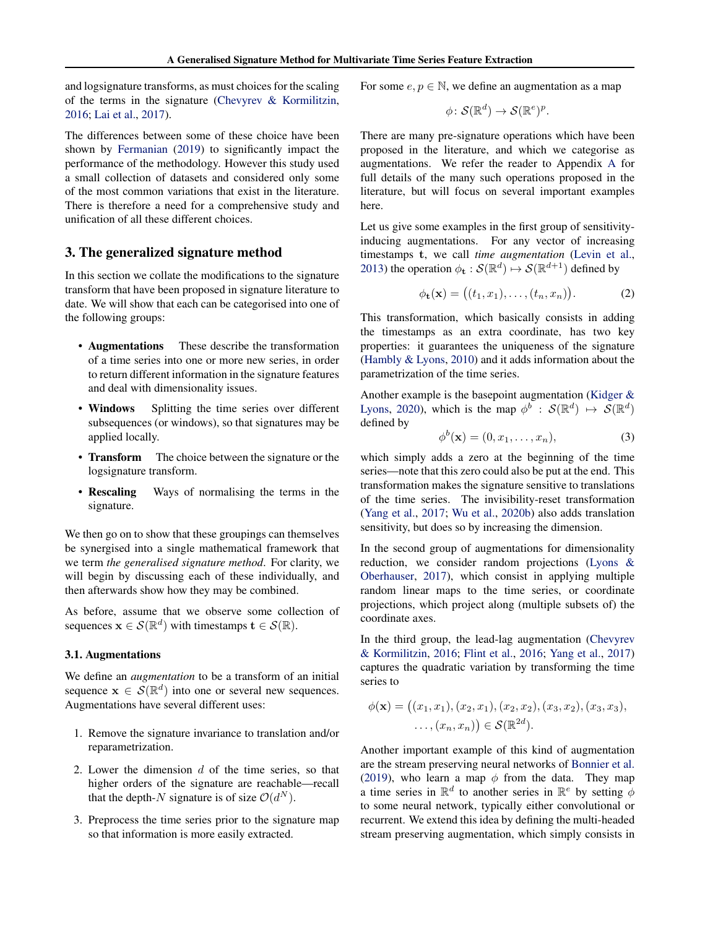<span id="page-3-0"></span>and logsignature transforms, as must choices for the scaling of the terms in the signature [\(Chevyrev & Kormilitzin,](#page-8-0) [2016;](#page-8-0) [Lai et al.,](#page-8-0) [2017\)](#page-8-0).

The differences between some of these choice have been shown by [Fermanian](#page-8-0) [\(2019\)](#page-8-0) to significantly impact the performance of the methodology. However this study used a small collection of datasets and considered only some of the most common variations that exist in the literature. There is therefore a need for a comprehensive study and unification of all these different choices.

#### 3. The generalized signature method

In this section we collate the modifications to the signature transform that have been proposed in signature literature to date. We will show that each can be categorised into one of the following groups:

- Augmentations These describe the transformation of a time series into one or more new series, in order to return different information in the signature features and deal with dimensionality issues.
- Windows Splitting the time series over different subsequences (or windows), so that signatures may be applied locally.
- **Transform** The choice between the signature or the logsignature transform.
- Rescaling Ways of normalising the terms in the signature.

We then go on to show that these groupings can themselves be synergised into a single mathematical framework that we term *the generalised signature method*. For clarity, we will begin by discussing each of these individually, and then afterwards show how they may be combined.

As before, assume that we observe some collection of sequences  $\mathbf{x} \in \mathcal{S}(\mathbb{R}^d)$  with timestamps  $\mathbf{t} \in \mathcal{S}(\mathbb{R})$ .

#### 3.1. Augmentations

We define an *augmentation* to be a transform of an initial sequence  $\mathbf{x} \in \mathcal{S}(\mathbb{R}^d)$  into one or several new sequences. Augmentations have several different uses:

- 1. Remove the signature invariance to translation and/or reparametrization.
- 2. Lower the dimension  $d$  of the time series, so that higher orders of the signature are reachable—recall that the depth-N signature is of size  $\mathcal{O}(d^N)$ .
- 3. Preprocess the time series prior to the signature map so that information is more easily extracted.

For some  $e, p \in \mathbb{N}$ , we define an augmentation as a map

$$
\phi\colon \mathcal{S}(\mathbb{R}^d) \to \mathcal{S}(\mathbb{R}^e)^p.
$$

There are many pre-signature operations which have been proposed in the literature, and which we categorise as augmentations. We refer the reader to Appendix [A](#page-11-0) for full details of the many such operations proposed in the literature, but will focus on several important examples here.

Let us give some examples in the first group of sensitivityinducing augmentations. For any vector of increasing timestamps t, we call *time augmentation* [\(Levin et al.,](#page-8-0) [2013\)](#page-8-0) the operation  $\phi_{\mathbf{t}} : \mathcal{S}(\mathbb{R}^d) \mapsto \mathcal{S}(\mathbb{R}^{d+1})$  defined by

$$
\phi_{\mathbf{t}}(\mathbf{x}) = \big( (t_1, x_1), \dots, (t_n, x_n) \big). \tag{2}
$$

This transformation, which basically consists in adding the timestamps as an extra coordinate, has two key properties: it guarantees the uniqueness of the signature [\(Hambly & Lyons,](#page-8-0) [2010\)](#page-8-0) and it adds information about the parametrization of the time series.

Another example is the basepoint augmentation [\(Kidger &](#page-8-0) [Lyons,](#page-8-0) [2020\)](#page-8-0), which is the map  $\phi^b : \mathcal{S}(\mathbb{R}^d) \mapsto \mathcal{S}(\mathbb{R}^d)$ defined by

$$
\phi^b(\mathbf{x}) = (0, x_1, \dots, x_n),\tag{3}
$$

which simply adds a zero at the beginning of the time series—note that this zero could also be put at the end. This transformation makes the signature sensitive to translations of the time series. The invisibility-reset transformation [\(Yang et al.,](#page-10-0) [2017;](#page-10-0) [Wu et al.,](#page-10-0) [2020b\)](#page-10-0) also adds translation sensitivity, but does so by increasing the dimension.

In the second group of augmentations for dimensionality reduction, we consider random projections [\(Lyons &](#page-9-0) [Oberhauser,](#page-9-0) [2017\)](#page-9-0), which consist in applying multiple random linear maps to the time series, or coordinate projections, which project along (multiple subsets of) the coordinate axes.

In the third group, the lead-lag augmentation [\(Chevyrev](#page-8-0) [& Kormilitzin,](#page-8-0) [2016;](#page-8-0) [Flint et al.,](#page-8-0) [2016;](#page-8-0) [Yang et al.,](#page-10-0) [2017\)](#page-10-0) captures the quadratic variation by transforming the time series to

$$
\phi(\mathbf{x}) = ((x_1, x_1), (x_2, x_1), (x_2, x_2), (x_3, x_2), (x_3, x_3), \dots, (x_n, x_n)) \in \mathcal{S}(\mathbb{R}^{2d}).
$$

Another important example of this kind of augmentation are the stream preserving neural networks of [Bonnier et al.](#page-8-0) [\(2019\)](#page-8-0), who learn a map  $\phi$  from the data. They map a time series in  $\mathbb{R}^d$  to another series in  $\mathbb{R}^e$  by setting  $\phi$ to some neural network, typically either convolutional or recurrent. We extend this idea by defining the multi-headed stream preserving augmentation, which simply consists in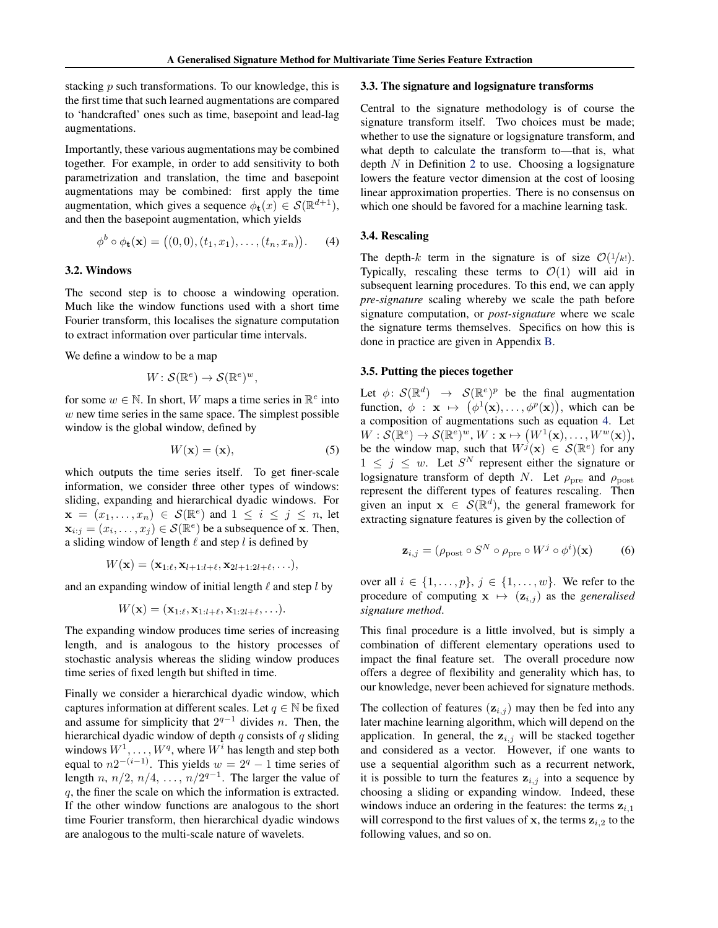<span id="page-4-0"></span>stacking  $p$  such transformations. To our knowledge, this is the first time that such learned augmentations are compared to 'handcrafted' ones such as time, basepoint and lead-lag augmentations.

Importantly, these various augmentations may be combined together. For example, in order to add sensitivity to both parametrization and translation, the time and basepoint augmentations may be combined: first apply the time augmentation, which gives a sequence  $\phi_t(x) \in \mathcal{S}(\mathbb{R}^{d+1})$ , and then the basepoint augmentation, which yields

$$
\phi^b \circ \phi_{\mathbf{t}}(\mathbf{x}) = ((0,0), (t_1, x_1), \dots, (t_n, x_n)). \quad (4)
$$

#### 3.2. Windows

The second step is to choose a windowing operation. Much like the window functions used with a short time Fourier transform, this localises the signature computation to extract information over particular time intervals.

We define a window to be a map

$$
W: \mathcal{S}(\mathbb{R}^e) \to \mathcal{S}(\mathbb{R}^e)^w,
$$

for some  $w \in \mathbb{N}$ . In short, W maps a time series in  $\mathbb{R}^e$  into  $w$  new time series in the same space. The simplest possible window is the global window, defined by

$$
W(\mathbf{x}) = (\mathbf{x}),\tag{5}
$$

which outputs the time series itself. To get finer-scale information, we consider three other types of windows: sliding, expanding and hierarchical dyadic windows. For  $\mathbf{x} = (x_1, \ldots, x_n) \in \mathcal{S}(\mathbb{R}^e)$  and  $1 \leq i \leq j \leq n$ , let  $\mathbf{x}_{i:j} = (x_i, \dots, x_j) \in \mathcal{S}(\mathbb{R}^e)$  be a subsequence of x. Then, a sliding window of length  $\ell$  and step l is defined by

$$
W(\mathbf{x}) = (\mathbf{x}_{1:\ell}, \mathbf{x}_{l+1:l+\ell}, \mathbf{x}_{2l+1:2l+\ell}, \ldots),
$$

and an expanding window of initial length  $\ell$  and step  $l$  by

$$
W(\mathbf{x}) = (\mathbf{x}_{1:\ell}, \mathbf{x}_{1:\ell+\ell}, \mathbf{x}_{1:2\ell+\ell}, \ldots).
$$

The expanding window produces time series of increasing length, and is analogous to the history processes of stochastic analysis whereas the sliding window produces time series of fixed length but shifted in time.

Finally we consider a hierarchical dyadic window, which captures information at different scales. Let  $q \in \mathbb{N}$  be fixed and assume for simplicity that  $2^{q-1}$  divides *n*. Then, the hierarchical dyadic window of depth  $q$  consists of  $q$  sliding windows  $W^1, \ldots, W^q$ , where  $W^i$  has length and step both equal to  $n2^{-(i-1)}$ . This yields  $w = 2^q - 1$  time series of length n,  $n/2$ ,  $n/4$ , ...,  $n/2^{q-1}$ . The larger the value of q, the finer the scale on which the information is extracted. If the other window functions are analogous to the short time Fourier transform, then hierarchical dyadic windows are analogous to the multi-scale nature of wavelets.

#### 3.3. The signature and logsignature transforms

Central to the signature methodology is of course the signature transform itself. Two choices must be made; whether to use the signature or logsignature transform, and what depth to calculate the transform to—that is, what depth  $N$  in Definition [2](#page-1-0) to use. Choosing a logsignature lowers the feature vector dimension at the cost of loosing linear approximation properties. There is no consensus on which one should be favored for a machine learning task.

#### 3.4. Rescaling

The depth-k term in the signature is of size  $\mathcal{O}(1/k!)$ . Typically, rescaling these terms to  $\mathcal{O}(1)$  will aid in subsequent learning procedures. To this end, we can apply *pre-signature* scaling whereby we scale the path before signature computation, or *post-signature* where we scale the signature terms themselves. Specifics on how this is done in practice are given in Appendix [B.](#page-12-0)

#### 3.5. Putting the pieces together

Let  $\phi \colon \mathcal{S}(\mathbb{R}^d) \to \mathcal{S}(\mathbb{R}^e)^p$  be the final augmentation function,  $\phi : \mathbf{x} \mapsto (\phi^1(\mathbf{x}), \dots, \phi^p(\mathbf{x})),$  which can be a composition of augmentations such as equation 4. Let  $W: \mathcal{S}(\mathbb{R}^e) \to \mathcal{S}(\mathbb{R}^e)^w$ ,  $W: \mathbf{x} \mapsto (W^1(\mathbf{x}), \dots, W^w(\mathbf{x})),$ be the window map, such that  $W^{j}(\mathbf{x}) \in \mathcal{S}(\mathbb{R}^{e})$  for any  $1 \leq j \leq w$ . Let  $S<sup>N</sup>$  represent either the signature or logsignature transform of depth N. Let  $\rho_{\text{pre}}$  and  $\rho_{\text{post}}$ represent the different types of features rescaling. Then given an input  $\mathbf{x} \in \mathcal{S}(\mathbb{R}^d)$ , the general framework for extracting signature features is given by the collection of

$$
\mathbf{z}_{i,j} = (\rho_{\text{post}} \circ S^N \circ \rho_{\text{pre}} \circ W^j \circ \phi^i)(\mathbf{x}) \tag{6}
$$

over all  $i \in \{1, \ldots, p\}, j \in \{1, \ldots, w\}$ . We refer to the procedure of computing  $x \mapsto (z_{i,j})$  as the *generalised signature method*.

This final procedure is a little involved, but is simply a combination of different elementary operations used to impact the final feature set. The overall procedure now offers a degree of flexibility and generality which has, to our knowledge, never been achieved for signature methods.

The collection of features  $(\mathbf{z}_{i,j})$  may then be fed into any later machine learning algorithm, which will depend on the application. In general, the  $z_{i,j}$  will be stacked together and considered as a vector. However, if one wants to use a sequential algorithm such as a recurrent network, it is possible to turn the features  $z_{i,j}$  into a sequence by choosing a sliding or expanding window. Indeed, these windows induce an ordering in the features: the terms  $z_{i,1}$ will correspond to the first values of x, the terms  $z_{i,2}$  to the following values, and so on.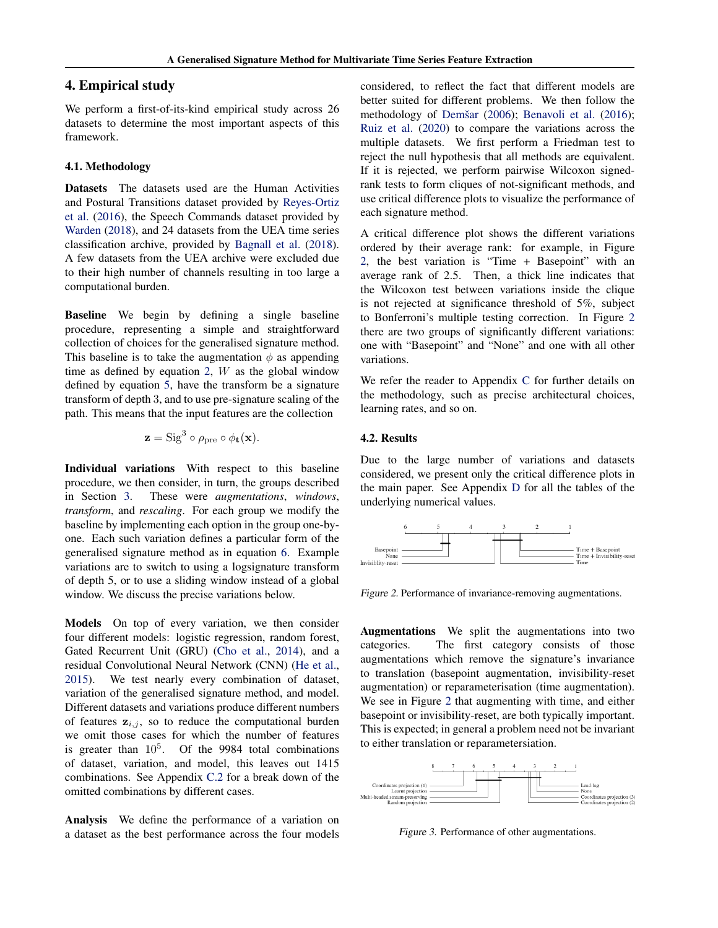#### <span id="page-5-0"></span>4. Empirical study

We perform a first-of-its-kind empirical study across 26 datasets to determine the most important aspects of this framework.

#### 4.1. Methodology

Datasets The datasets used are the Human Activities and Postural Transitions dataset provided by [Reyes-Ortiz](#page-9-0) [et al.](#page-9-0) [\(2016\)](#page-9-0), the Speech Commands dataset provided by [Warden](#page-9-0) [\(2018\)](#page-9-0), and 24 datasets from the UEA time series classification archive, provided by [Bagnall et al.](#page-8-0) [\(2018\)](#page-8-0). A few datasets from the UEA archive were excluded due to their high number of channels resulting in too large a computational burden.

Baseline We begin by defining a single baseline procedure, representing a simple and straightforward collection of choices for the generalised signature method. This baseline is to take the augmentation  $\phi$  as appending time as defined by equation [2,](#page-3-0)  $W$  as the global window defined by equation [5,](#page-4-0) have the transform be a signature transform of depth 3, and to use pre-signature scaling of the path. This means that the input features are the collection

$$
\mathbf{z} = \text{Sig}^3 \circ \rho_{\text{pre}} \circ \phi_{\mathbf{t}}(\mathbf{x}).
$$

Individual variations With respect to this baseline procedure, we then consider, in turn, the groups described in Section [3.](#page-3-0) These were *augmentations*, *windows*, *transform*, and *rescaling*. For each group we modify the baseline by implementing each option in the group one-byone. Each such variation defines a particular form of the generalised signature method as in equation [6.](#page-4-0) Example variations are to switch to using a logsignature transform of depth 5, or to use a sliding window instead of a global window. We discuss the precise variations below.

Models On top of every variation, we then consider four different models: logistic regression, random forest, Gated Recurrent Unit (GRU) [\(Cho et al.,](#page-8-0) [2014\)](#page-8-0), and a residual Convolutional Neural Network (CNN) [\(He et al.,](#page-8-0) [2015\)](#page-8-0). We test nearly every combination of dataset, variation of the generalised signature method, and model. Different datasets and variations produce different numbers of features  $z_{i,j}$ , so to reduce the computational burden we omit those cases for which the number of features is greater than  $10^5$ . Of the 9984 total combinations of dataset, variation, and model, this leaves out 1415 combinations. See Appendix [C.2](#page-13-0) for a break down of the omitted combinations by different cases.

Analysis We define the performance of a variation on a dataset as the best performance across the four models considered, to reflect the fact that different models are better suited for different problems. We then follow the methodology of [Demšar](#page-8-0) [\(2006\)](#page-8-0); [Benavoli et al.](#page-8-0) [\(2016\)](#page-8-0); [Ruiz et al.](#page-9-0) [\(2020\)](#page-9-0) to compare the variations across the multiple datasets. We first perform a Friedman test to reject the null hypothesis that all methods are equivalent. If it is rejected, we perform pairwise Wilcoxon signedrank tests to form cliques of not-significant methods, and use critical difference plots to visualize the performance of each signature method.

A critical difference plot shows the different variations ordered by their average rank: for example, in Figure 2, the best variation is "Time + Basepoint" with an average rank of 2.5. Then, a thick line indicates that the Wilcoxon test between variations inside the clique is not rejected at significance threshold of 5%, subject to Bonferroni's multiple testing correction. In Figure 2 there are two groups of significantly different variations: one with "Basepoint" and "None" and one with all other variations.

We refer the reader to Appendix [C](#page-13-0) for further details on the methodology, such as precise architectural choices, learning rates, and so on.

#### 4.2. Results

Due to the large number of variations and datasets considered, we present only the critical difference plots in the main paper. See Appendix [D](#page-15-0) for all the tables of the underlying numerical values.



Figure 2. Performance of invariance-removing augmentations.

Augmentations We split the augmentations into two categories. The first category consists of those augmentations which remove the signature's invariance to translation (basepoint augmentation, invisibility-reset augmentation) or reparameterisation (time augmentation). We see in Figure 2 that augmenting with time, and either basepoint or invisibility-reset, are both typically important. This is expected; in general a problem need not be invariant to either translation or reparametersiation.



Figure 3. Performance of other augmentations.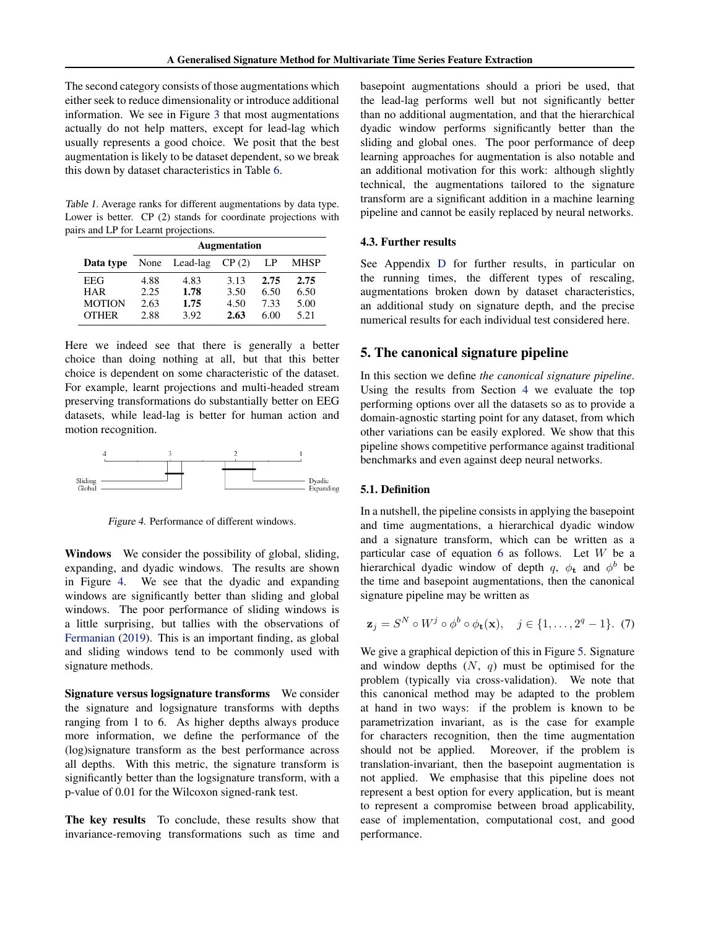<span id="page-6-0"></span>The second category consists of those augmentations which either seek to reduce dimensionality or introduce additional information. We see in Figure [3](#page-5-0) that most augmentations actually do not help matters, except for lead-lag which usually represents a good choice. We posit that the best augmentation is likely to be dataset dependent, so we break this down by dataset characteristics in Table [6.](#page-17-0)

Table 1. Average ranks for different augmentations by data type. Lower is better. CP (2) stands for coordinate projections with pairs and LP for Learnt projections.

|               | <b>Augmentation</b> |               |       |      |             |  |  |  |
|---------------|---------------------|---------------|-------|------|-------------|--|--|--|
| Data type     |                     | None Lead-lag | CP(2) | LP   | <b>MHSP</b> |  |  |  |
| EEG           | 4.88                | 4.83          | 3.13  | 2.75 | 2.75        |  |  |  |
| <b>HAR</b>    | 2.25                | 1.78          | 3.50  | 6.50 | 6.50        |  |  |  |
| <b>MOTION</b> | 2.63                | 1.75          | 4.50  | 7.33 | 5.00        |  |  |  |
| <b>OTHER</b>  | 2.88                | 3.92          | 2.63  | 6.00 | 5.21        |  |  |  |

Here we indeed see that there is generally a better choice than doing nothing at all, but that this better choice is dependent on some characteristic of the dataset. For example, learnt projections and multi-headed stream preserving transformations do substantially better on EEG datasets, while lead-lag is better for human action and motion recognition.



Figure 4. Performance of different windows.

Windows We consider the possibility of global, sliding, expanding, and dyadic windows. The results are shown in Figure 4. We see that the dyadic and expanding windows are significantly better than sliding and global windows. The poor performance of sliding windows is a little surprising, but tallies with the observations of [Fermanian](#page-8-0) [\(2019\)](#page-8-0). This is an important finding, as global and sliding windows tend to be commonly used with signature methods.

Signature versus logsignature transforms We consider the signature and logsignature transforms with depths ranging from 1 to 6. As higher depths always produce more information, we define the performance of the (log)signature transform as the best performance across all depths. With this metric, the signature transform is significantly better than the logsignature transform, with a p-value of 0.01 for the Wilcoxon signed-rank test.

The key results To conclude, these results show that invariance-removing transformations such as time and

basepoint augmentations should a priori be used, that the lead-lag performs well but not significantly better than no additional augmentation, and that the hierarchical dyadic window performs significantly better than the sliding and global ones. The poor performance of deep learning approaches for augmentation is also notable and an additional motivation for this work: although slightly technical, the augmentations tailored to the signature transform are a significant addition in a machine learning pipeline and cannot be easily replaced by neural networks.

#### 4.3. Further results

See Appendix [D](#page-15-0) for further results, in particular on the running times, the different types of rescaling, augmentations broken down by dataset characteristics, an additional study on signature depth, and the precise numerical results for each individual test considered here.

#### 5. The canonical signature pipeline

In this section we define *the canonical signature pipeline*. Using the results from Section [4](#page-5-0) we evaluate the top performing options over all the datasets so as to provide a domain-agnostic starting point for any dataset, from which other variations can be easily explored. We show that this pipeline shows competitive performance against traditional benchmarks and even against deep neural networks.

#### 5.1. Definition

In a nutshell, the pipeline consists in applying the basepoint and time augmentations, a hierarchical dyadic window and a signature transform, which can be written as a particular case of equation [6](#page-4-0) as follows. Let W be a hierarchical dyadic window of depth q,  $\phi_t$  and  $\phi^b$  be the time and basepoint augmentations, then the canonical signature pipeline may be written as

$$
\mathbf{z}_j = S^N \circ W^j \circ \phi^b \circ \phi_t(\mathbf{x}), \quad j \in \{1, \dots, 2^q - 1\}. \tag{7}
$$

We give a graphical depiction of this in Figure [5.](#page-7-0) Signature and window depths  $(N, q)$  must be optimised for the problem (typically via cross-validation). We note that this canonical method may be adapted to the problem at hand in two ways: if the problem is known to be parametrization invariant, as is the case for example for characters recognition, then the time augmentation should not be applied. Moreover, if the problem is translation-invariant, then the basepoint augmentation is not applied. We emphasise that this pipeline does not represent a best option for every application, but is meant to represent a compromise between broad applicability, ease of implementation, computational cost, and good performance.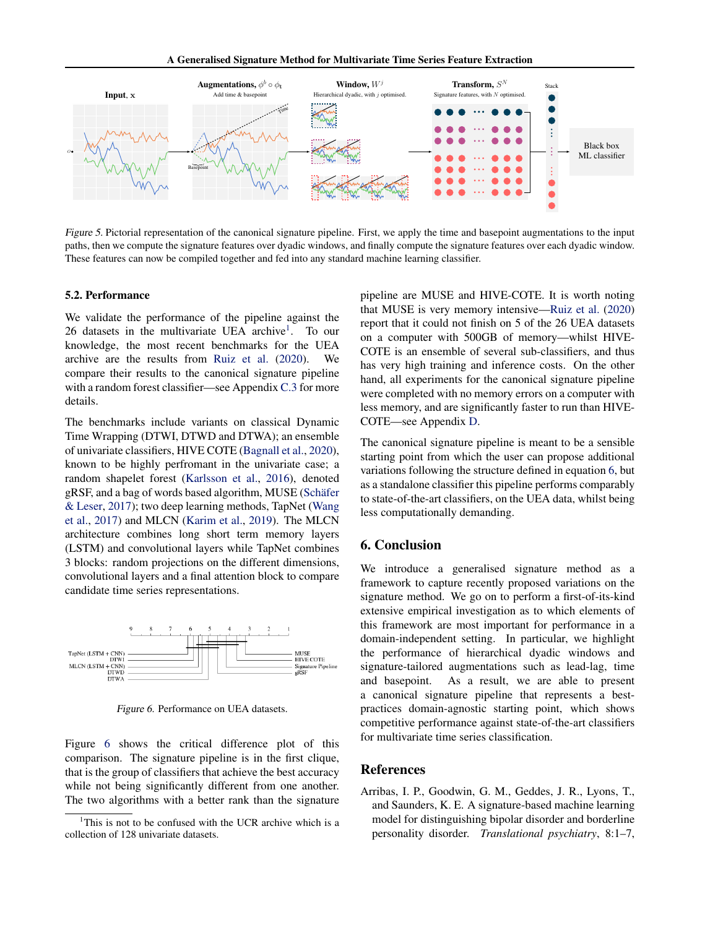<span id="page-7-0"></span>

Figure 5. Pictorial representation of the canonical signature pipeline. First, we apply the time and basepoint augmentations to the input paths, then we compute the signature features over dyadic windows, and finally compute the signature features over each dyadic window. These features can now be compiled together and fed into any standard machine learning classifier.

#### 5.2. Performance

We validate the performance of the pipeline against the 26 datasets in the multivariate UEA archive<sup>1</sup>. To our knowledge, the most recent benchmarks for the UEA archive are the results from [Ruiz et al.](#page-9-0) [\(2020\)](#page-9-0). We compare their results to the canonical signature pipeline with a random forest classifier—see Appendix [C.3](#page-14-0) for more details.

The benchmarks include variants on classical Dynamic Time Wrapping (DTWI, DTWD and DTWA); an ensemble of univariate classifiers, HIVE COTE [\(Bagnall et al.,](#page-8-0) [2020\)](#page-8-0), known to be highly perfromant in the univariate case; a random shapelet forest [\(Karlsson et al.,](#page-8-0) [2016\)](#page-8-0), denoted gRSF, and a bag of words based algorithm, MUSE [\(Schäfer](#page-9-0) [& Leser,](#page-9-0) [2017\)](#page-9-0); two deep learning methods, TapNet [\(Wang](#page-9-0) [et al.,](#page-9-0) [2017\)](#page-9-0) and MLCN [\(Karim et al.,](#page-8-0) [2019\)](#page-8-0). The MLCN architecture combines long short term memory layers (LSTM) and convolutional layers while TapNet combines 3 blocks: random projections on the different dimensions, convolutional layers and a final attention block to compare candidate time series representations.



Figure 6. Performance on UEA datasets.

Figure 6 shows the critical difference plot of this comparison. The signature pipeline is in the first clique, that is the group of classifiers that achieve the best accuracy while not being significantly different from one another. The two algorithms with a better rank than the signature

pipeline are MUSE and HIVE-COTE. It is worth noting that MUSE is very memory intensive[—Ruiz et al.](#page-9-0) [\(2020\)](#page-9-0) report that it could not finish on 5 of the 26 UEA datasets on a computer with 500GB of memory—whilst HIVE-COTE is an ensemble of several sub-classifiers, and thus has very high training and inference costs. On the other hand, all experiments for the canonical signature pipeline were completed with no memory errors on a computer with less memory, and are significantly faster to run than HIVE-COTE—see Appendix [D.](#page-15-0)

The canonical signature pipeline is meant to be a sensible starting point from which the user can propose additional variations following the structure defined in equation [6,](#page-4-0) but as a standalone classifier this pipeline performs comparably to state-of-the-art classifiers, on the UEA data, whilst being less computationally demanding.

#### 6. Conclusion

We introduce a generalised signature method as a framework to capture recently proposed variations on the signature method. We go on to perform a first-of-its-kind extensive empirical investigation as to which elements of this framework are most important for performance in a domain-independent setting. In particular, we highlight the performance of hierarchical dyadic windows and signature-tailored augmentations such as lead-lag, time and basepoint. As a result, we are able to present a canonical signature pipeline that represents a bestpractices domain-agnostic starting point, which shows competitive performance against state-of-the-art classifiers for multivariate time series classification.

#### References

Arribas, I. P., Goodwin, G. M., Geddes, J. R., Lyons, T., and Saunders, K. E. A signature-based machine learning model for distinguishing bipolar disorder and borderline personality disorder. *Translational psychiatry*, 8:1–7,

<sup>&</sup>lt;sup>1</sup>This is not to be confused with the UCR archive which is a collection of 128 univariate datasets.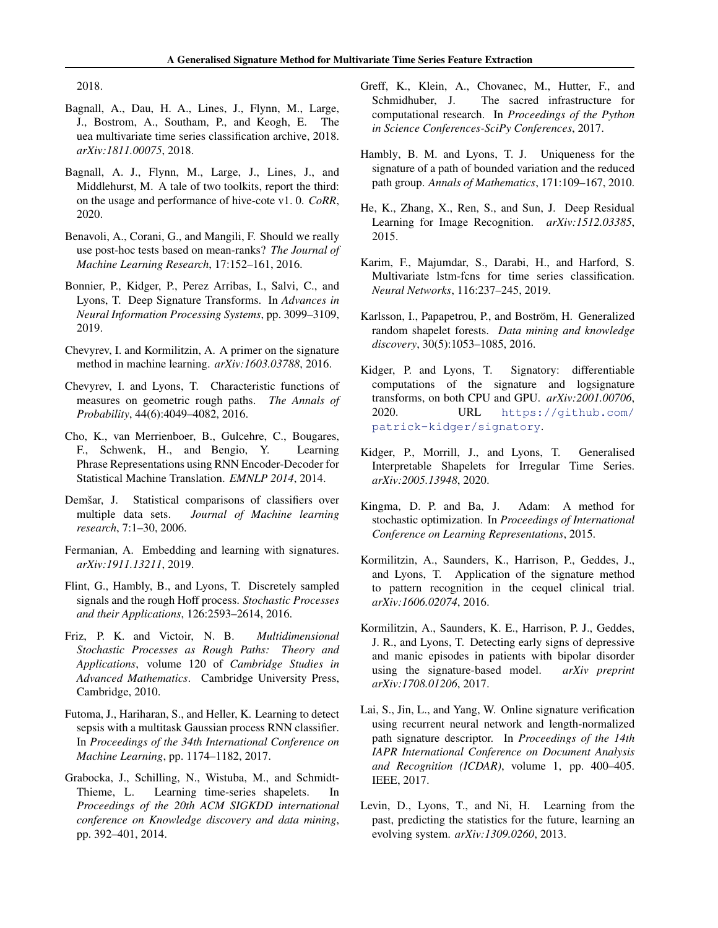<span id="page-8-0"></span>2018.

- Bagnall, A., Dau, H. A., Lines, J., Flynn, M., Large, J., Bostrom, A., Southam, P., and Keogh, E. The uea multivariate time series classification archive, 2018. *arXiv:1811.00075*, 2018.
- Bagnall, A. J., Flynn, M., Large, J., Lines, J., and Middlehurst, M. A tale of two toolkits, report the third: on the usage and performance of hive-cote v1. 0. *CoRR*, 2020.
- Benavoli, A., Corani, G., and Mangili, F. Should we really use post-hoc tests based on mean-ranks? *The Journal of Machine Learning Research*, 17:152–161, 2016.
- Bonnier, P., Kidger, P., Perez Arribas, I., Salvi, C., and Lyons, T. Deep Signature Transforms. In *Advances in Neural Information Processing Systems*, pp. 3099–3109, 2019.
- Chevyrev, I. and Kormilitzin, A. A primer on the signature method in machine learning. *arXiv:1603.03788*, 2016.
- Chevyrev, I. and Lyons, T. Characteristic functions of measures on geometric rough paths. *The Annals of Probability*, 44(6):4049–4082, 2016.
- Cho, K., van Merrienboer, B., Gulcehre, C., Bougares, F., Schwenk, H., and Bengio, Y. Learning Phrase Representations using RNN Encoder-Decoder for Statistical Machine Translation. *EMNLP 2014*, 2014.
- Demšar, J. Statistical comparisons of classifiers over multiple data sets. *Journal of Machine learning research*, 7:1–30, 2006.
- Fermanian, A. Embedding and learning with signatures. *arXiv:1911.13211*, 2019.
- Flint, G., Hambly, B., and Lyons, T. Discretely sampled signals and the rough Hoff process. *Stochastic Processes and their Applications*, 126:2593–2614, 2016.
- Friz, P. K. and Victoir, N. B. *Multidimensional Stochastic Processes as Rough Paths: Theory and Applications*, volume 120 of *Cambridge Studies in Advanced Mathematics*. Cambridge University Press, Cambridge, 2010.
- Futoma, J., Hariharan, S., and Heller, K. Learning to detect sepsis with a multitask Gaussian process RNN classifier. In *Proceedings of the 34th International Conference on Machine Learning*, pp. 1174–1182, 2017.
- Grabocka, J., Schilling, N., Wistuba, M., and Schmidt-Thieme, L. Learning time-series shapelets. In *Proceedings of the 20th ACM SIGKDD international conference on Knowledge discovery and data mining*, pp. 392–401, 2014.
- Greff, K., Klein, A., Chovanec, M., Hutter, F., and Schmidhuber, J. The sacred infrastructure for computational research. In *Proceedings of the Python in Science Conferences-SciPy Conferences*, 2017.
- Hambly, B. M. and Lyons, T. J. Uniqueness for the signature of a path of bounded variation and the reduced path group. *Annals of Mathematics*, 171:109–167, 2010.
- He, K., Zhang, X., Ren, S., and Sun, J. Deep Residual Learning for Image Recognition. *arXiv:1512.03385*, 2015.
- Karim, F., Majumdar, S., Darabi, H., and Harford, S. Multivariate lstm-fcns for time series classification. *Neural Networks*, 116:237–245, 2019.
- Karlsson, I., Papapetrou, P., and Boström, H. Generalized random shapelet forests. *Data mining and knowledge discovery*, 30(5):1053–1085, 2016.
- Kidger, P. and Lyons, T. Signatory: differentiable computations of the signature and logsignature transforms, on both CPU and GPU. *arXiv:2001.00706*, 2020. URL [https://github.com/](https://github.com/patrick-kidger/signatory) [patrick-kidger/signatory](https://github.com/patrick-kidger/signatory).
- Kidger, P., Morrill, J., and Lyons, T. Generalised Interpretable Shapelets for Irregular Time Series. *arXiv:2005.13948*, 2020.
- Kingma, D. P. and Ba, J. Adam: A method for stochastic optimization. In *Proceedings of International Conference on Learning Representations*, 2015.
- Kormilitzin, A., Saunders, K., Harrison, P., Geddes, J., and Lyons, T. Application of the signature method to pattern recognition in the cequel clinical trial. *arXiv:1606.02074*, 2016.
- Kormilitzin, A., Saunders, K. E., Harrison, P. J., Geddes, J. R., and Lyons, T. Detecting early signs of depressive and manic episodes in patients with bipolar disorder using the signature-based model. *arXiv preprint arXiv:1708.01206*, 2017.
- Lai, S., Jin, L., and Yang, W. Online signature verification using recurrent neural network and length-normalized path signature descriptor. In *Proceedings of the 14th IAPR International Conference on Document Analysis and Recognition (ICDAR)*, volume 1, pp. 400–405. IEEE, 2017.
- Levin, D., Lyons, T., and Ni, H. Learning from the past, predicting the statistics for the future, learning an evolving system. *arXiv:1309.0260*, 2013.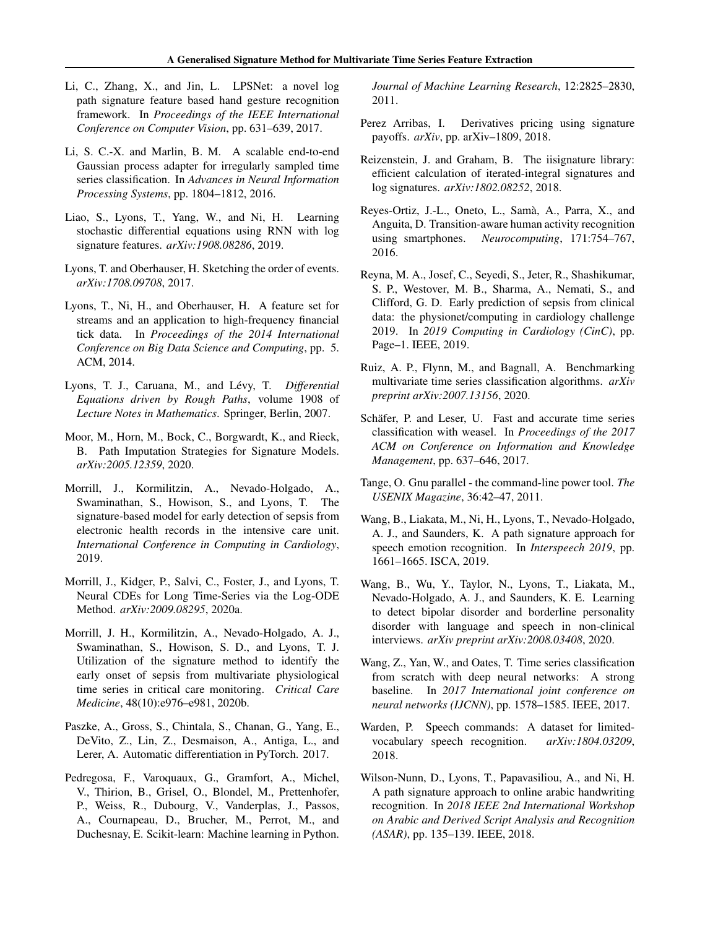- <span id="page-9-0"></span>Li, C., Zhang, X., and Jin, L. LPSNet: a novel log path signature feature based hand gesture recognition framework. In *Proceedings of the IEEE International Conference on Computer Vision*, pp. 631–639, 2017.
- Li, S. C.-X. and Marlin, B. M. A scalable end-to-end Gaussian process adapter for irregularly sampled time series classification. In *Advances in Neural Information Processing Systems*, pp. 1804–1812, 2016.
- Liao, S., Lyons, T., Yang, W., and Ni, H. Learning stochastic differential equations using RNN with log signature features. *arXiv:1908.08286*, 2019.
- Lyons, T. and Oberhauser, H. Sketching the order of events. *arXiv:1708.09708*, 2017.
- Lyons, T., Ni, H., and Oberhauser, H. A feature set for streams and an application to high-frequency financial tick data. In *Proceedings of the 2014 International Conference on Big Data Science and Computing*, pp. 5. ACM, 2014.
- Lyons, T. J., Caruana, M., and Lévy, T. *Differential Equations driven by Rough Paths*, volume 1908 of *Lecture Notes in Mathematics*. Springer, Berlin, 2007.
- Moor, M., Horn, M., Bock, C., Borgwardt, K., and Rieck, B. Path Imputation Strategies for Signature Models. *arXiv:2005.12359*, 2020.
- Morrill, J., Kormilitzin, A., Nevado-Holgado, A., Swaminathan, S., Howison, S., and Lyons, T. The signature-based model for early detection of sepsis from electronic health records in the intensive care unit. *International Conference in Computing in Cardiology*, 2019.
- Morrill, J., Kidger, P., Salvi, C., Foster, J., and Lyons, T. Neural CDEs for Long Time-Series via the Log-ODE Method. *arXiv:2009.08295*, 2020a.
- Morrill, J. H., Kormilitzin, A., Nevado-Holgado, A. J., Swaminathan, S., Howison, S. D., and Lyons, T. J. Utilization of the signature method to identify the early onset of sepsis from multivariate physiological time series in critical care monitoring. *Critical Care Medicine*, 48(10):e976–e981, 2020b.
- Paszke, A., Gross, S., Chintala, S., Chanan, G., Yang, E., DeVito, Z., Lin, Z., Desmaison, A., Antiga, L., and Lerer, A. Automatic differentiation in PyTorch. 2017.
- Pedregosa, F., Varoquaux, G., Gramfort, A., Michel, V., Thirion, B., Grisel, O., Blondel, M., Prettenhofer, P., Weiss, R., Dubourg, V., Vanderplas, J., Passos, A., Cournapeau, D., Brucher, M., Perrot, M., and Duchesnay, E. Scikit-learn: Machine learning in Python.

*Journal of Machine Learning Research*, 12:2825–2830, 2011.

- Perez Arribas, I. Derivatives pricing using signature payoffs. *arXiv*, pp. arXiv–1809, 2018.
- Reizenstein, J. and Graham, B. The iisignature library: efficient calculation of iterated-integral signatures and log signatures. *arXiv:1802.08252*, 2018.
- Reyes-Ortiz, J.-L., Oneto, L., Samà, A., Parra, X., and Anguita, D. Transition-aware human activity recognition using smartphones. *Neurocomputing*, 171:754–767, 2016.
- Reyna, M. A., Josef, C., Seyedi, S., Jeter, R., Shashikumar, S. P., Westover, M. B., Sharma, A., Nemati, S., and Clifford, G. D. Early prediction of sepsis from clinical data: the physionet/computing in cardiology challenge 2019. In *2019 Computing in Cardiology (CinC)*, pp. Page–1. IEEE, 2019.
- Ruiz, A. P., Flynn, M., and Bagnall, A. Benchmarking multivariate time series classification algorithms. *arXiv preprint arXiv:2007.13156*, 2020.
- Schäfer, P. and Leser, U. Fast and accurate time series classification with weasel. In *Proceedings of the 2017 ACM on Conference on Information and Knowledge Management*, pp. 637–646, 2017.
- Tange, O. Gnu parallel the command-line power tool. *The USENIX Magazine*, 36:42–47, 2011.
- Wang, B., Liakata, M., Ni, H., Lyons, T., Nevado-Holgado, A. J., and Saunders, K. A path signature approach for speech emotion recognition. In *Interspeech 2019*, pp. 1661–1665. ISCA, 2019.
- Wang, B., Wu, Y., Taylor, N., Lyons, T., Liakata, M., Nevado-Holgado, A. J., and Saunders, K. E. Learning to detect bipolar disorder and borderline personality disorder with language and speech in non-clinical interviews. *arXiv preprint arXiv:2008.03408*, 2020.
- Wang, Z., Yan, W., and Oates, T. Time series classification from scratch with deep neural networks: A strong baseline. In *2017 International joint conference on neural networks (IJCNN)*, pp. 1578–1585. IEEE, 2017.
- Warden, P. Speech commands: A dataset for limitedvocabulary speech recognition. *arXiv:1804.03209*, 2018.
- Wilson-Nunn, D., Lyons, T., Papavasiliou, A., and Ni, H. A path signature approach to online arabic handwriting recognition. In *2018 IEEE 2nd International Workshop on Arabic and Derived Script Analysis and Recognition (ASAR)*, pp. 135–139. IEEE, 2018.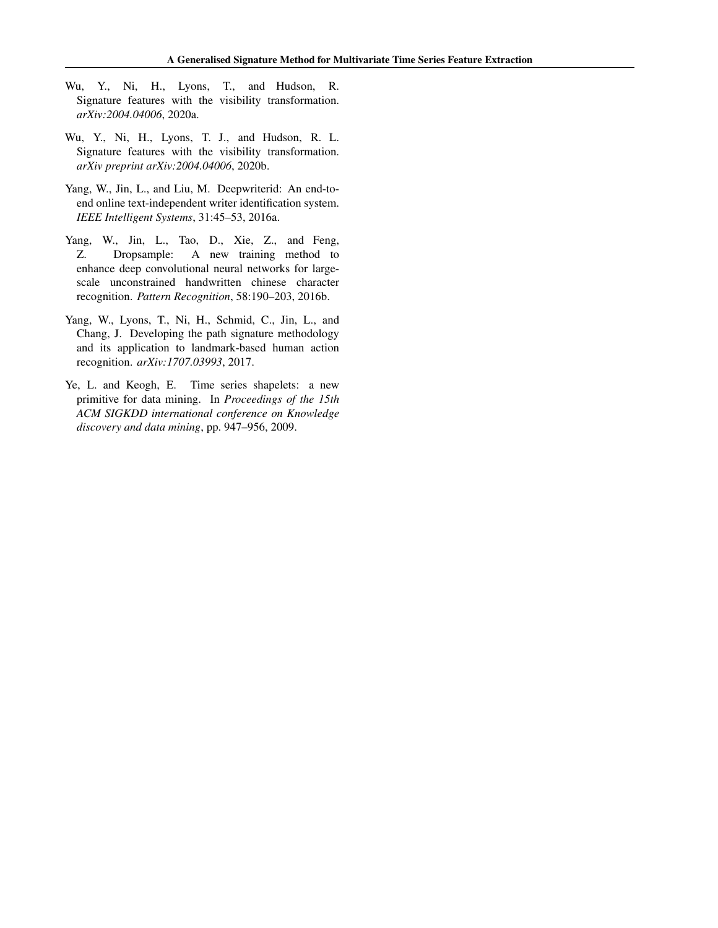- <span id="page-10-0"></span>Wu, Y., Ni, H., Lyons, T., and Hudson, R. Signature features with the visibility transformation. *arXiv:2004.04006*, 2020a.
- Wu, Y., Ni, H., Lyons, T. J., and Hudson, R. L. Signature features with the visibility transformation. *arXiv preprint arXiv:2004.04006*, 2020b.
- Yang, W., Jin, L., and Liu, M. Deepwriterid: An end-toend online text-independent writer identification system. *IEEE Intelligent Systems*, 31:45–53, 2016a.
- Yang, W., Jin, L., Tao, D., Xie, Z., and Feng, Z. Dropsample: A new training method to enhance deep convolutional neural networks for largescale unconstrained handwritten chinese character recognition. *Pattern Recognition*, 58:190–203, 2016b.
- Yang, W., Lyons, T., Ni, H., Schmid, C., Jin, L., and Chang, J. Developing the path signature methodology and its application to landmark-based human action recognition. *arXiv:1707.03993*, 2017.
- Ye, L. and Keogh, E. Time series shapelets: a new primitive for data mining. In *Proceedings of the 15th ACM SIGKDD international conference on Knowledge discovery and data mining*, pp. 947–956, 2009.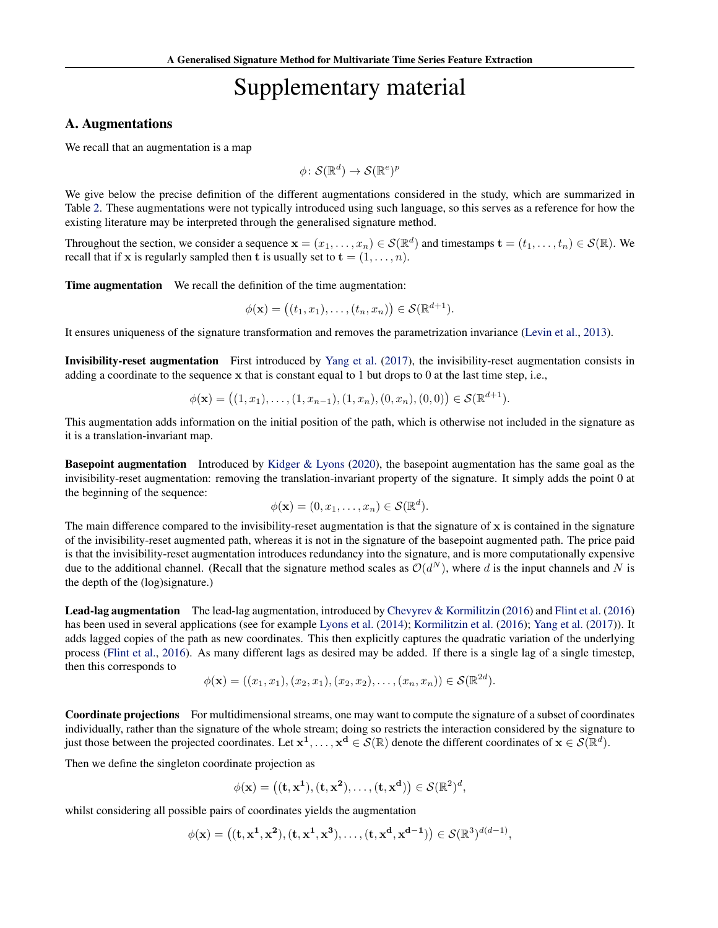# Supplementary material

#### <span id="page-11-0"></span>A. Augmentations

We recall that an augmentation is a map

$$
\phi\colon \mathcal{S}(\mathbb{R}^d) \to \mathcal{S}(\mathbb{R}^e)^p
$$

We give below the precise definition of the different augmentations considered in the study, which are summarized in Table [2.](#page-12-0) These augmentations were not typically introduced using such language, so this serves as a reference for how the existing literature may be interpreted through the generalised signature method.

Throughout the section, we consider a sequence  $\mathbf{x} = (x_1, \dots, x_n) \in \mathcal{S}(\mathbb{R}^d)$  and timestamps  $\mathbf{t} = (t_1, \dots, t_n) \in \mathcal{S}(\mathbb{R})$ . We recall that if x is regularly sampled then t is usually set to  $t = (1, \ldots, n)$ .

Time augmentation We recall the definition of the time augmentation:

$$
\phi(\mathbf{x}) = ((t_1, x_1), \dots, (t_n, x_n)) \in \mathcal{S}(\mathbb{R}^{d+1}).
$$

It ensures uniqueness of the signature transformation and removes the parametrization invariance [\(Levin et al.,](#page-8-0) [2013\)](#page-8-0).

Invisibility-reset augmentation First introduced by [Yang et al.](#page-10-0) [\(2017\)](#page-10-0), the invisibility-reset augmentation consists in adding a coordinate to the sequence x that is constant equal to 1 but drops to 0 at the last time step, i.e.,

$$
\phi(\mathbf{x}) = ((1, x_1), \dots, (1, x_{n-1}), (1, x_n), (0, x_n), (0, 0)) \in \mathcal{S}(\mathbb{R}^{d+1}).
$$

This augmentation adds information on the initial position of the path, which is otherwise not included in the signature as it is a translation-invariant map.

Basepoint augmentation Introduced by [Kidger & Lyons](#page-8-0) [\(2020\)](#page-8-0), the basepoint augmentation has the same goal as the invisibility-reset augmentation: removing the translation-invariant property of the signature. It simply adds the point 0 at the beginning of the sequence:

$$
\phi(\mathbf{x}) = (0, x_1, \dots, x_n) \in \mathcal{S}(\mathbb{R}^d).
$$

The main difference compared to the invisibility-reset augmentation is that the signature of  $x$  is contained in the signature of the invisibility-reset augmented path, whereas it is not in the signature of the basepoint augmented path. The price paid is that the invisibility-reset augmentation introduces redundancy into the signature, and is more computationally expensive due to the additional channel. (Recall that the signature method scales as  $\mathcal{O}(d^N)$ , where d is the input channels and N is the depth of the (log)signature.)

Lead-lag augmentation The lead-lag augmentation, introduced by [Chevyrev & Kormilitzin](#page-8-0) [\(2016\)](#page-8-0) and [Flint et al.](#page-8-0) [\(2016\)](#page-8-0) has been used in several applications (see for example [Lyons et al.](#page-9-0) [\(2014\)](#page-9-0); [Kormilitzin et al.](#page-8-0) [\(2016\)](#page-8-0); [Yang et al.](#page-10-0) [\(2017\)](#page-10-0)). It adds lagged copies of the path as new coordinates. This then explicitly captures the quadratic variation of the underlying process [\(Flint et al.,](#page-8-0) [2016\)](#page-8-0). As many different lags as desired may be added. If there is a single lag of a single timestep, then this corresponds to  $\overline{2}$ 

$$
\phi(\mathbf{x}) = ((x_1, x_1), (x_2, x_1), (x_2, x_2), \dots, (x_n, x_n)) \in \mathcal{S}(\mathbb{R}^{2d}).
$$

Coordinate projections For multidimensional streams, one may want to compute the signature of a subset of coordinates individually, rather than the signature of the whole stream; doing so restricts the interaction considered by the signature to just those between the projected coordinates. Let  $x^1, \ldots, x^d \in \mathcal{S}(\mathbb{R})$  denote the different coordinates of  $x \in \mathcal{S}(\mathbb{R}^d)$ .

Then we define the singleton coordinate projection as

$$
\phi(\mathbf{x}) = \left( (\mathbf{t}, \mathbf{x}^1), (\mathbf{t}, \mathbf{x}^2), \dots, (\mathbf{t}, \mathbf{x}^d) \right) \in \mathcal{S}(\mathbb{R}^2)^d,
$$

whilst considering all possible pairs of coordinates yields the augmentation

$$
\phi(\mathbf{x}) = ((\mathbf{t}, \mathbf{x}^1, \mathbf{x}^2), (\mathbf{t}, \mathbf{x}^1, \mathbf{x}^3), \dots, (\mathbf{t}, \mathbf{x}^d, \mathbf{x}^{d-1})) \in \mathcal{S}(\mathbb{R}^3)^{d(d-1)},
$$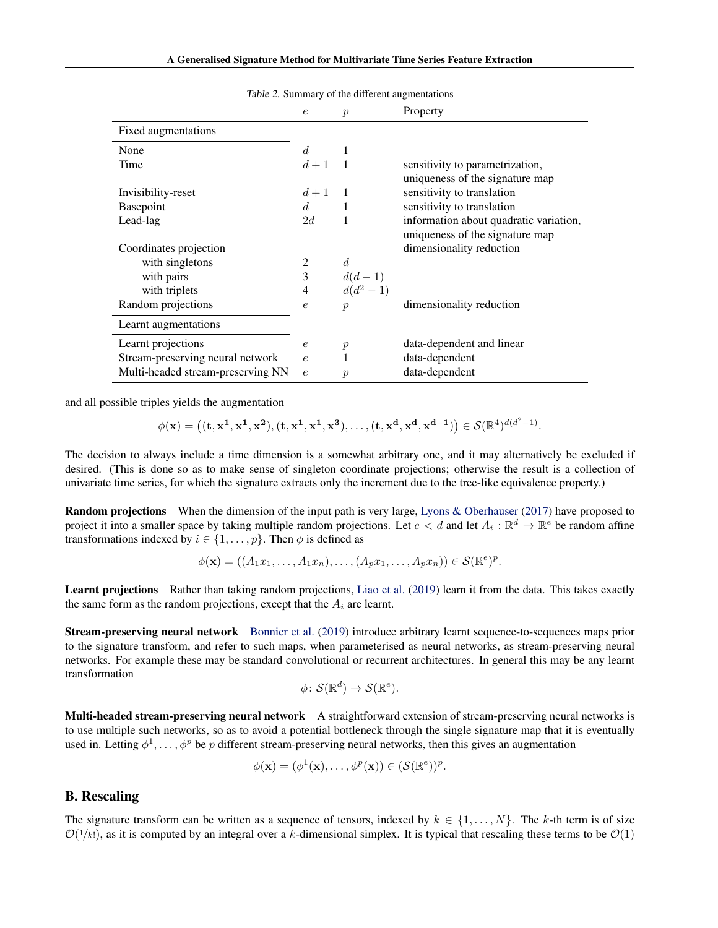<span id="page-12-0"></span>

|                                   | $\epsilon$     | $\boldsymbol{p}$ | Property                               |
|-----------------------------------|----------------|------------------|----------------------------------------|
| Fixed augmentations               |                |                  |                                        |
| None                              | $d_{\cdot}$    | -1               |                                        |
| Time                              | $d+1$ 1        |                  | sensitivity to parametrization,        |
|                                   |                |                  | uniqueness of the signature map        |
| Invisibility-reset                | $d+1$          | $\blacksquare$   | sensitivity to translation             |
| Basepoint                         | d              | 1                | sensitivity to translation             |
| Lead-lag                          | 2d             | 1                | information about quadratic variation, |
|                                   |                |                  | uniqueness of the signature map        |
| Coordinates projection            |                |                  | dimensionality reduction               |
| with singletons                   | 2              | $\overline{d}$   |                                        |
| with pairs                        | 3              | $d(d-1)$         |                                        |
| with triplets                     | $\overline{4}$ | $d(d^2-1)$       |                                        |
| Random projections                | $\epsilon$     | $\boldsymbol{p}$ | dimensionality reduction               |
| Learnt augmentations              |                |                  |                                        |
| Learnt projections                | $\epsilon$     | $\boldsymbol{p}$ | data-dependent and linear              |
| Stream-preserving neural network  | $\epsilon$     | 1                | data-dependent                         |
| Multi-headed stream-preserving NN | $\epsilon$     | $\mathcal{p}$    | data-dependent                         |

Table 2. Summary of the different augmentations

and all possible triples yields the augmentation

$$
\phi(\mathbf{x}) = \left( (\mathbf{t}, \mathbf{x}^1, \mathbf{x}^1, \mathbf{x}^2), (\mathbf{t}, \mathbf{x}^1, \mathbf{x}^1, \mathbf{x}^3), \dots, (\mathbf{t}, \mathbf{x}^d, \mathbf{x}^d, \mathbf{x}^{d-1}) \right) \in \mathcal{S}(\mathbb{R}^4)^{d(d^2-1)}.
$$

The decision to always include a time dimension is a somewhat arbitrary one, and it may alternatively be excluded if desired. (This is done so as to make sense of singleton coordinate projections; otherwise the result is a collection of univariate time series, for which the signature extracts only the increment due to the tree-like equivalence property.)

Random projections When the dimension of the input path is very large, [Lyons & Oberhauser](#page-9-0) [\(2017\)](#page-9-0) have proposed to project it into a smaller space by taking multiple random projections. Let  $e < d$  and let  $A_i : \mathbb{R}^d \to \mathbb{R}^e$  be random affine transformations indexed by  $i \in \{1, \ldots, p\}$ . Then  $\phi$  is defined as

$$
\phi(\mathbf{x}) = ((A_1x_1, \dots, A_1x_n), \dots, (A_px_1, \dots, A_px_n)) \in \mathcal{S}(\mathbb{R}^e)^p.
$$

Learnt projections Rather than taking random projections, [Liao et al.](#page-9-0) [\(2019\)](#page-9-0) learn it from the data. This takes exactly the same form as the random projections, except that the  $A_i$  are learnt.

Stream-preserving neural network [Bonnier et al.](#page-8-0) [\(2019\)](#page-8-0) introduce arbitrary learnt sequence-to-sequences maps prior to the signature transform, and refer to such maps, when parameterised as neural networks, as stream-preserving neural networks. For example these may be standard convolutional or recurrent architectures. In general this may be any learnt transformation

$$
\phi\colon \mathcal{S}(\mathbb{R}^d)\to \mathcal{S}(\mathbb{R}^e).
$$

Multi-headed stream-preserving neural network A straightforward extension of stream-preserving neural networks is to use multiple such networks, so as to avoid a potential bottleneck through the single signature map that it is eventually used in. Letting  $\phi^1, \ldots, \phi^p$  be p different stream-preserving neural networks, then this gives an augmentation

$$
\phi(\mathbf{x}) = (\phi^1(\mathbf{x}), \dots, \phi^p(\mathbf{x})) \in (\mathcal{S}(\mathbb{R}^e))^p.
$$

#### B. Rescaling

The signature transform can be written as a sequence of tensors, indexed by  $k \in \{1, \ldots, N\}$ . The k-th term is of size  $\mathcal{O}(1/k!)$ , as it is computed by an integral over a k-dimensional simplex. It is typical that rescaling these terms to be  $\mathcal{O}(1)$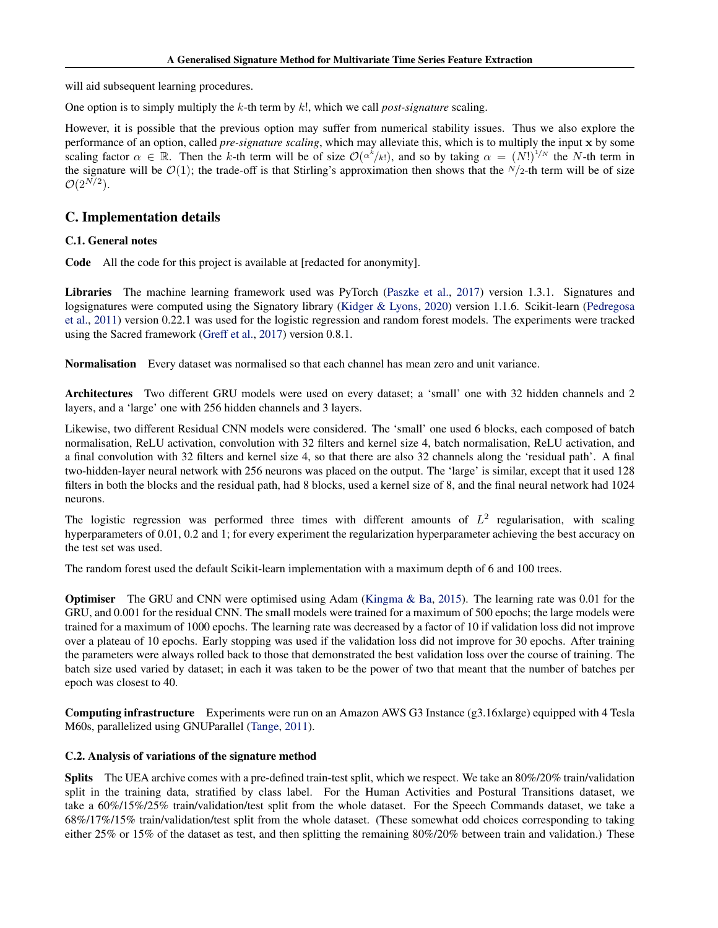<span id="page-13-0"></span>will aid subsequent learning procedures.

One option is to simply multiply the k-th term by k!, which we call *post-signature* scaling.

However, it is possible that the previous option may suffer from numerical stability issues. Thus we also explore the performance of an option, called *pre-signature scaling*, which may alleviate this, which is to multiply the input x by some scaling factor  $\alpha \in \mathbb{R}$ . Then the k-th term will be of size  $\mathcal{O}(\alpha^k/k!)$ , and so by taking  $\alpha = (N!)^{1/N}$  the N-th term in the signature will be  $\mathcal{O}(1)$ ; the trade-off is that Stirling's approximation then shows that the  $N/2$ -th term will be of size  $\mathcal{O}(2^{N/2})$ .

# C. Implementation details

# C.1. General notes

Code All the code for this project is available at [redacted for anonymity].

Libraries The machine learning framework used was PyTorch [\(Paszke et al.,](#page-9-0) [2017\)](#page-9-0) version 1.3.1. Signatures and logsignatures were computed using the Signatory library [\(Kidger & Lyons,](#page-8-0) [2020\)](#page-8-0) version 1.1.6. Scikit-learn [\(Pedregosa](#page-9-0) [et al.,](#page-9-0) [2011\)](#page-9-0) version 0.22.1 was used for the logistic regression and random forest models. The experiments were tracked using the Sacred framework [\(Greff et al.,](#page-8-0) [2017\)](#page-8-0) version 0.8.1.

Normalisation Every dataset was normalised so that each channel has mean zero and unit variance.

Architectures Two different GRU models were used on every dataset; a 'small' one with 32 hidden channels and 2 layers, and a 'large' one with 256 hidden channels and 3 layers.

Likewise, two different Residual CNN models were considered. The 'small' one used 6 blocks, each composed of batch normalisation, ReLU activation, convolution with 32 filters and kernel size 4, batch normalisation, ReLU activation, and a final convolution with 32 filters and kernel size 4, so that there are also 32 channels along the 'residual path'. A final two-hidden-layer neural network with 256 neurons was placed on the output. The 'large' is similar, except that it used 128 filters in both the blocks and the residual path, had 8 blocks, used a kernel size of 8, and the final neural network had 1024 neurons.

The logistic regression was performed three times with different amounts of  $L^2$  regularisation, with scaling hyperparameters of 0.01, 0.2 and 1; for every experiment the regularization hyperparameter achieving the best accuracy on the test set was used.

The random forest used the default Scikit-learn implementation with a maximum depth of 6 and 100 trees.

Optimiser The GRU and CNN were optimised using Adam [\(Kingma & Ba,](#page-8-0) [2015\)](#page-8-0). The learning rate was 0.01 for the GRU, and 0.001 for the residual CNN. The small models were trained for a maximum of 500 epochs; the large models were trained for a maximum of 1000 epochs. The learning rate was decreased by a factor of 10 if validation loss did not improve over a plateau of 10 epochs. Early stopping was used if the validation loss did not improve for 30 epochs. After training the parameters were always rolled back to those that demonstrated the best validation loss over the course of training. The batch size used varied by dataset; in each it was taken to be the power of two that meant that the number of batches per epoch was closest to 40.

Computing infrastructure Experiments were run on an Amazon AWS G3 Instance (g3.16xlarge) equipped with 4 Tesla M60s, parallelized using GNUParallel [\(Tange,](#page-9-0) [2011\)](#page-9-0).

# C.2. Analysis of variations of the signature method

Splits The UEA archive comes with a pre-defined train-test split, which we respect. We take an 80%/20% train/validation split in the training data, stratified by class label. For the Human Activities and Postural Transitions dataset, we take a 60%/15%/25% train/validation/test split from the whole dataset. For the Speech Commands dataset, we take a 68%/17%/15% train/validation/test split from the whole dataset. (These somewhat odd choices corresponding to taking either 25% or 15% of the dataset as test, and then splitting the remaining  $80\%/20\%$  between train and validation.) These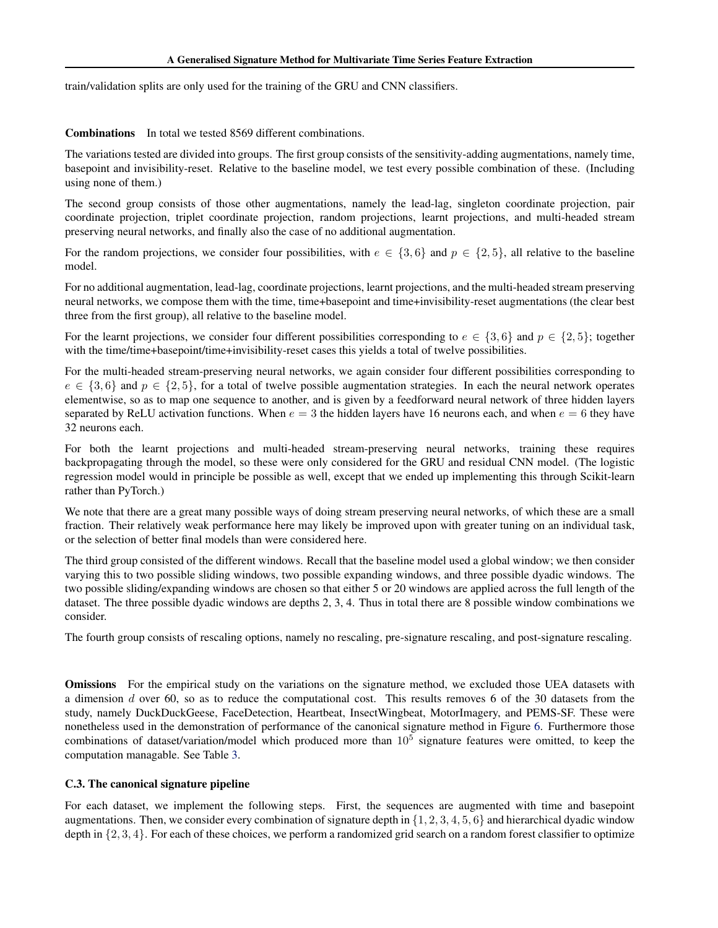<span id="page-14-0"></span>train/validation splits are only used for the training of the GRU and CNN classifiers.

Combinations In total we tested 8569 different combinations.

The variations tested are divided into groups. The first group consists of the sensitivity-adding augmentations, namely time, basepoint and invisibility-reset. Relative to the baseline model, we test every possible combination of these. (Including using none of them.)

The second group consists of those other augmentations, namely the lead-lag, singleton coordinate projection, pair coordinate projection, triplet coordinate projection, random projections, learnt projections, and multi-headed stream preserving neural networks, and finally also the case of no additional augmentation.

For the random projections, we consider four possibilities, with  $e \in \{3, 6\}$  and  $p \in \{2, 5\}$ , all relative to the baseline model.

For no additional augmentation, lead-lag, coordinate projections, learnt projections, and the multi-headed stream preserving neural networks, we compose them with the time, time+basepoint and time+invisibility-reset augmentations (the clear best three from the first group), all relative to the baseline model.

For the learnt projections, we consider four different possibilities corresponding to  $e \in \{3, 6\}$  and  $p \in \{2, 5\}$ ; together with the time/time+basepoint/time+invisibility-reset cases this yields a total of twelve possibilities.

For the multi-headed stream-preserving neural networks, we again consider four different possibilities corresponding to  $e \in \{3, 6\}$  and  $p \in \{2, 5\}$ , for a total of twelve possible augmentation strategies. In each the neural network operates elementwise, so as to map one sequence to another, and is given by a feedforward neural network of three hidden layers separated by ReLU activation functions. When  $e = 3$  the hidden layers have 16 neurons each, and when  $e = 6$  they have 32 neurons each.

For both the learnt projections and multi-headed stream-preserving neural networks, training these requires backpropagating through the model, so these were only considered for the GRU and residual CNN model. (The logistic regression model would in principle be possible as well, except that we ended up implementing this through Scikit-learn rather than PyTorch.)

We note that there are a great many possible ways of doing stream preserving neural networks, of which these are a small fraction. Their relatively weak performance here may likely be improved upon with greater tuning on an individual task, or the selection of better final models than were considered here.

The third group consisted of the different windows. Recall that the baseline model used a global window; we then consider varying this to two possible sliding windows, two possible expanding windows, and three possible dyadic windows. The two possible sliding/expanding windows are chosen so that either 5 or 20 windows are applied across the full length of the dataset. The three possible dyadic windows are depths 2, 3, 4. Thus in total there are 8 possible window combinations we consider.

The fourth group consists of rescaling options, namely no rescaling, pre-signature rescaling, and post-signature rescaling.

**Omissions** For the empirical study on the variations on the signature method, we excluded those UEA datasets with a dimension d over 60, so as to reduce the computational cost. This results removes 6 of the 30 datasets from the study, namely DuckDuckGeese, FaceDetection, Heartbeat, InsectWingbeat, MotorImagery, and PEMS-SF. These were nonetheless used in the demonstration of performance of the canonical signature method in Figure [6.](#page-7-0) Furthermore those combinations of dataset/variation/model which produced more than  $10^5$  signature features were omitted, to keep the computation managable. See Table [3.](#page-15-0)

# C.3. The canonical signature pipeline

For each dataset, we implement the following steps. First, the sequences are augmented with time and basepoint augmentations. Then, we consider every combination of signature depth in  $\{1, 2, 3, 4, 5, 6\}$  and hierarchical dyadic window depth in  $\{2, 3, 4\}$ . For each of these choices, we perform a randomized grid search on a random forest classifier to optimize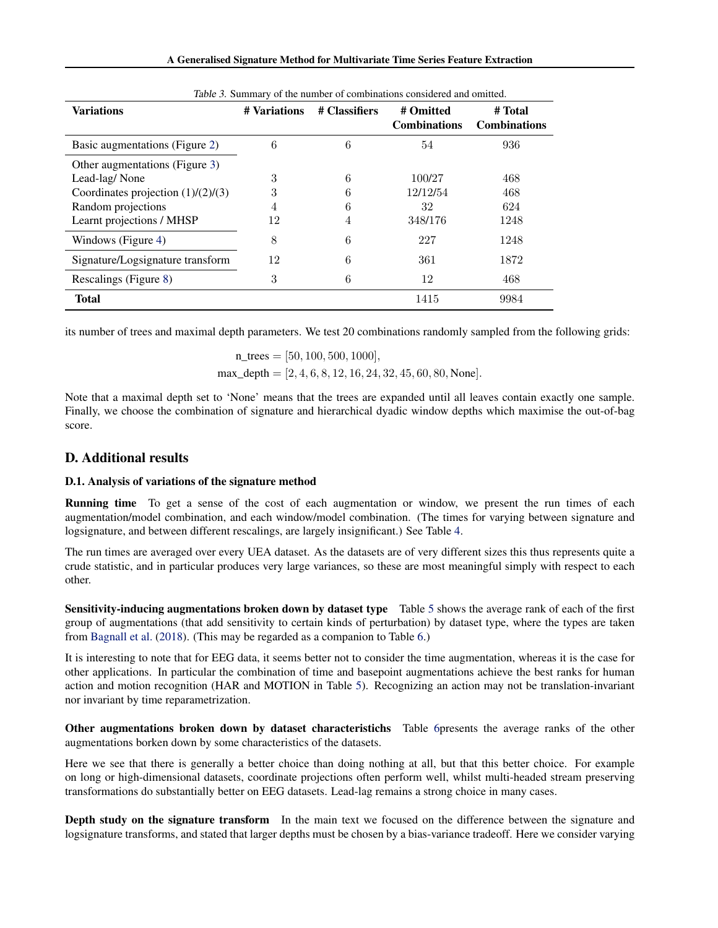|  |  |  |  | A Generalised Signature Method for Multivariate Time Series Feature Extraction |  |  |  |
|--|--|--|--|--------------------------------------------------------------------------------|--|--|--|
|--|--|--|--|--------------------------------------------------------------------------------|--|--|--|

<span id="page-15-0"></span>

| <i>rable 5.</i> Summary of the number of combinations considered and omnited. |                               |   |                     |                     |  |  |  |
|-------------------------------------------------------------------------------|-------------------------------|---|---------------------|---------------------|--|--|--|
| <b>Variations</b>                                                             | # Classifiers<br># Variations |   | # Omitted           | # Total             |  |  |  |
|                                                                               |                               |   | <b>Combinations</b> | <b>Combinations</b> |  |  |  |
| Basic augmentations (Figure 2)                                                | 6                             | 6 | 54                  | 936                 |  |  |  |
| Other augmentations (Figure 3)                                                |                               |   |                     |                     |  |  |  |
| Lead-lag/None                                                                 | 3                             | 6 | 100/27              | 468                 |  |  |  |
| Coordinates projection $(1)/(2)/(3)$                                          | 3                             | 6 | 12/12/54            | 468                 |  |  |  |
| Random projections                                                            | 4                             |   | 32                  | 624                 |  |  |  |
| Learnt projections / MHSP                                                     | 12                            | 4 | 348/176             | 1248                |  |  |  |
| Windows (Figure 4)                                                            | 8                             | 6 | 227                 | 1248                |  |  |  |
| Signature/Logsignature transform                                              | 12                            | 6 | 361                 | 1872                |  |  |  |
| Rescalings (Figure 8)                                                         | 3                             | 6 | 12                  | 468                 |  |  |  |
| <b>Total</b>                                                                  |                               |   | 1415                | 9984                |  |  |  |

Table 3. Summary of the number of combinations considered and omitted.

its number of trees and maximal depth parameters. We test 20 combinations randomly sampled from the following grids:

n trees  $= [50, 100, 500, 1000]$ ,  $max\_depth = [2, 4, 6, 8, 12, 16, 24, 32, 45, 60, 80, None].$ 

Note that a maximal depth set to 'None' means that the trees are expanded until all leaves contain exactly one sample. Finally, we choose the combination of signature and hierarchical dyadic window depths which maximise the out-of-bag score.

# D. Additional results

# D.1. Analysis of variations of the signature method

Running time To get a sense of the cost of each augmentation or window, we present the run times of each augmentation/model combination, and each window/model combination. (The times for varying between signature and logsignature, and between different rescalings, are largely insignificant.) See Table [4.](#page-16-0)

The run times are averaged over every UEA dataset. As the datasets are of very different sizes this thus represents quite a crude statistic, and in particular produces very large variances, so these are most meaningful simply with respect to each other.

Sensitivity-inducing augmentations broken down by dataset type Table [5](#page-16-0) shows the average rank of each of the first group of augmentations (that add sensitivity to certain kinds of perturbation) by dataset type, where the types are taken from [Bagnall et al.](#page-8-0) [\(2018\)](#page-8-0). (This may be regarded as a companion to Table [6.](#page-17-0))

It is interesting to note that for EEG data, it seems better not to consider the time augmentation, whereas it is the case for other applications. In particular the combination of time and basepoint augmentations achieve the best ranks for human action and motion recognition (HAR and MOTION in Table [5\)](#page-16-0). Recognizing an action may not be translation-invariant nor invariant by time reparametrization.

Other augmentations broken down by dataset characteristichs Table [6p](#page-17-0)resents the average ranks of the other augmentations borken down by some characteristics of the datasets.

Here we see that there is generally a better choice than doing nothing at all, but that this better choice. For example on long or high-dimensional datasets, coordinate projections often perform well, whilst multi-headed stream preserving transformations do substantially better on EEG datasets. Lead-lag remains a strong choice in many cases.

Depth study on the signature transform In the main text we focused on the difference between the signature and logsignature transforms, and stated that larger depths must be chosen by a bias-variance tradeoff. Here we consider varying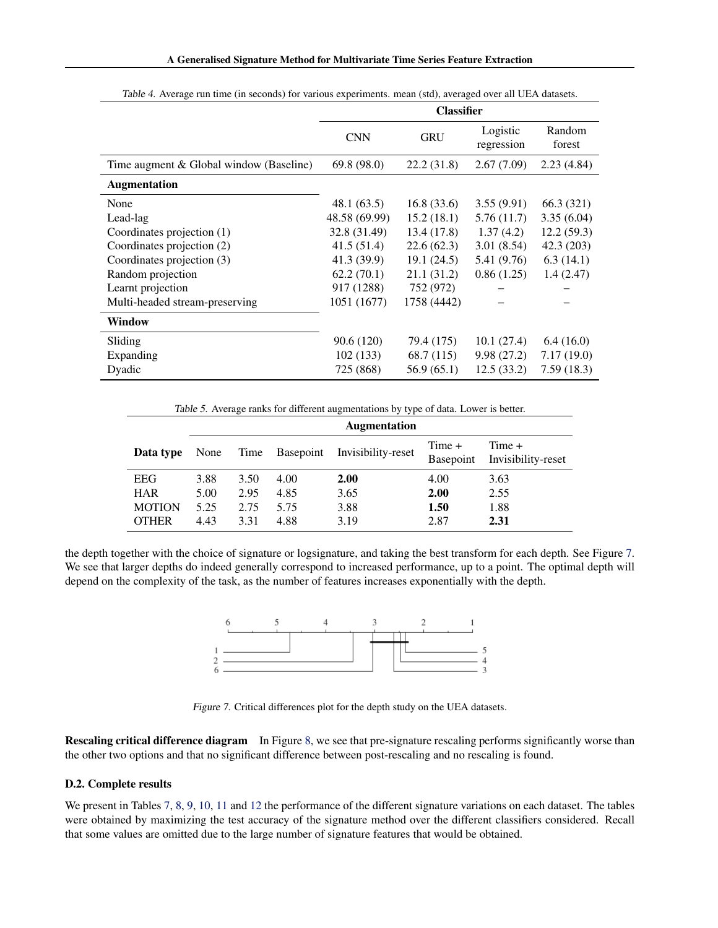<span id="page-16-0"></span>

|                                         | <b>Classifier</b> |             |                        |                  |  |
|-----------------------------------------|-------------------|-------------|------------------------|------------------|--|
|                                         | <b>CNN</b>        | <b>GRU</b>  | Logistic<br>regression | Random<br>forest |  |
| Time augment & Global window (Baseline) | 69.8(98.0)        | 22.2 (31.8) | 2.67(7.09)             | 2.23(4.84)       |  |
| <b>Augmentation</b>                     |                   |             |                        |                  |  |
| None                                    | 48.1 (63.5)       | 16.8(33.6)  | 3.55(9.91)             | 66.3 (321)       |  |
| Lead-lag                                | 48.58 (69.99)     | 15.2(18.1)  | 5.76(11.7)             | 3.35(6.04)       |  |
| Coordinates projection (1)              | 32.8 (31.49)      | 13.4 (17.8) | 1.37(4.2)              | 12.2(59.3)       |  |
| Coordinates projection (2)              | 41.5(51.4)        | 22.6 (62.3) | 3.01(8.54)             | 42.3 (203)       |  |
| Coordinates projection (3)              | 41.3 (39.9)       | 19.1(24.5)  | 5.41 (9.76)            | 6.3(14.1)        |  |
| Random projection                       | 62.2(70.1)        | 21.1 (31.2) | 0.86(1.25)             | 1.4(2.47)        |  |
| Learnt projection                       | 917 (1288)        | 752 (972)   |                        |                  |  |
| Multi-headed stream-preserving          | 1051 (1677)       | 1758 (4442) |                        |                  |  |
| <b>Window</b>                           |                   |             |                        |                  |  |
| Sliding                                 | 90.6 (120)        | 79.4 (175)  | 10.1(27.4)             | 6.4(16.0)        |  |
| Expanding                               | 102(133)          | 68.7 (115)  | 9.98(27.2)             | 7.17(19.0)       |  |
| Dyadic                                  | 725 (868)         | 56.9(65.1)  | 12.5(33.2)             | 7.59(18.3)       |  |

Table 4. Average run time (in seconds) for various experiments. mean (std), averaged over all UEA datasets.

Table 5. Average ranks for different augmentations by type of data. Lower is better.

|               | <b>Augmentation</b> |      |      |                              |                     |                              |  |
|---------------|---------------------|------|------|------------------------------|---------------------|------------------------------|--|
| Data type     | None                | Time |      | Basepoint Invisibility-reset | Time +<br>Basepoint | Time +<br>Invisibility-reset |  |
| EEG           | 3.88                | 3.50 | 4.00 | 2.00                         | 4.00                | 3.63                         |  |
| <b>HAR</b>    | 5.00                | 2.95 | 4.85 | 3.65                         | 2.00                | 2.55                         |  |
| <b>MOTION</b> | 5.25                | 2.75 | 5.75 | 3.88                         | 1.50                | 1.88                         |  |
| <b>OTHER</b>  | 4.43                | 3.31 | 4.88 | 3.19                         | 2.87                | 2.31                         |  |

the depth together with the choice of signature or logsignature, and taking the best transform for each depth. See Figure 7. We see that larger depths do indeed generally correspond to increased performance, up to a point. The optimal depth will depend on the complexity of the task, as the number of features increases exponentially with the depth.



Figure 7. Critical differences plot for the depth study on the UEA datasets.

Rescaling critical difference diagram In Figure [8,](#page-17-0) we see that pre-signature rescaling performs significantly worse than the other two options and that no significant difference between post-rescaling and no rescaling is found.

#### D.2. Complete results

We present in Tables [7,](#page-18-0) [8,](#page-18-0) [9,](#page-19-0) [10,](#page-19-0) [11](#page-20-0) and [12](#page-20-0) the performance of the different signature variations on each dataset. The tables were obtained by maximizing the test accuracy of the signature method over the different classifiers considered. Recall that some values are omitted due to the large number of signature features that would be obtained.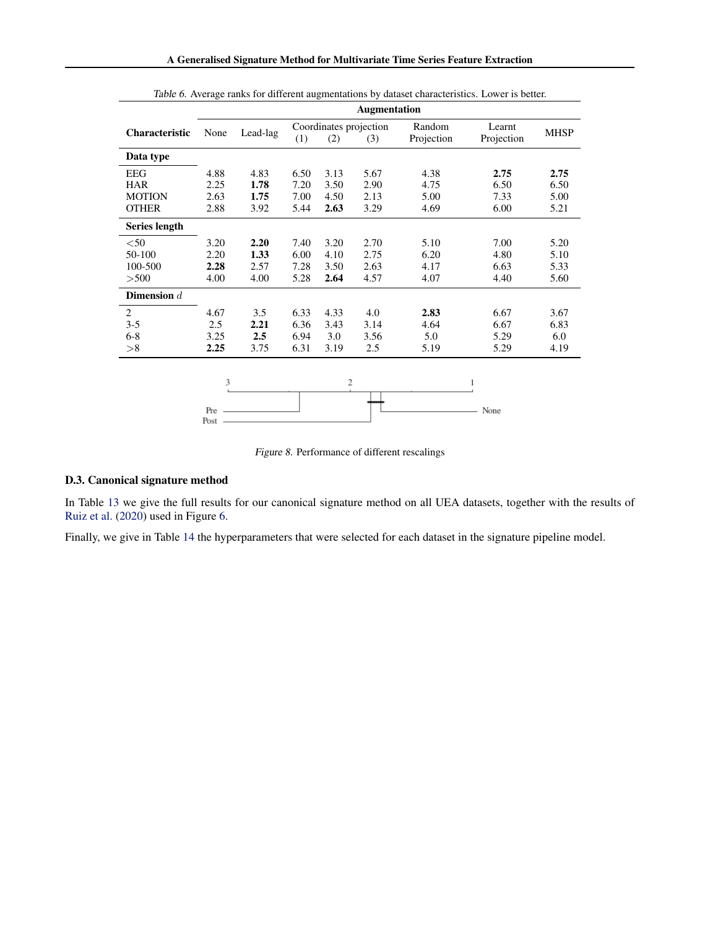<span id="page-17-0"></span>

|                | <b>Augmentation</b> |          |      |      |                               |                      |                      |             |
|----------------|---------------------|----------|------|------|-------------------------------|----------------------|----------------------|-------------|
| Characteristic | None                | Lead-lag | (1)  | (2)  | Coordinates projection<br>(3) | Random<br>Projection | Learnt<br>Projection | <b>MHSP</b> |
| Data type      |                     |          |      |      |                               |                      |                      |             |
| EEG            | 4.88                | 4.83     | 6.50 | 3.13 | 5.67                          | 4.38                 | 2.75                 | 2.75        |
| HAR            | 2.25                | 1.78     | 7.20 | 3.50 | 2.90                          | 4.75                 | 6.50                 | 6.50        |
| <b>MOTION</b>  | 2.63                | 1.75     | 7.00 | 4.50 | 2.13                          | 5.00                 | 7.33                 | 5.00        |
| <b>OTHER</b>   | 2.88                | 3.92     | 5.44 | 2.63 | 3.29                          | 4.69                 | 6.00                 | 5.21        |
| Series length  |                     |          |      |      |                               |                      |                      |             |
| $<$ 50         | 3.20                | 2.20     | 7.40 | 3.20 | 2.70                          | 5.10                 | 7.00                 | 5.20        |
| 50-100         | 2.20                | 1.33     | 6.00 | 4.10 | 2.75                          | 6.20                 | 4.80                 | 5.10        |
| 100-500        | 2.28                | 2.57     | 7.28 | 3.50 | 2.63                          | 4.17                 | 6.63                 | 5.33        |
| > 500          | 4.00                | 4.00     | 5.28 | 2.64 | 4.57                          | 4.07                 | 4.40                 | 5.60        |
| Dimension $d$  |                     |          |      |      |                               |                      |                      |             |
| 2              | 4.67                | 3.5      | 6.33 | 4.33 | 4.0                           | 2.83                 | 6.67                 | 3.67        |
| $3 - 5$        | 2.5                 | 2.21     | 6.36 | 3.43 | 3.14                          | 4.64                 | 6.67                 | 6.83        |
| $6 - 8$        | 3.25                | 2.5      | 6.94 | 3.0  | 3.56                          | 5.0                  | 5.29                 | 6.0         |
| >8             | 2.25                | 3.75     | 6.31 | 3.19 | 2.5                           | 5.19                 | 5.29                 | 4.19        |
|                |                     |          |      |      |                               |                      |                      |             |
|                | 3                   |          |      | 2    |                               |                      |                      |             |
|                |                     |          |      |      |                               |                      |                      |             |
|                | Pre<br>Post         |          |      |      |                               |                      | None                 |             |

Table 6. Average ranks for different augmentations by dataset characteristics. Lower is better.



#### D.3. Canonical signature method

In Table [13](#page-21-0) we give the full results for our canonical signature method on all UEA datasets, together with the results of [Ruiz et al.](#page-9-0) [\(2020\)](#page-9-0) used in Figure [6.](#page-7-0)

Finally, we give in Table [14](#page-21-0) the hyperparameters that were selected for each dataset in the signature pipeline model.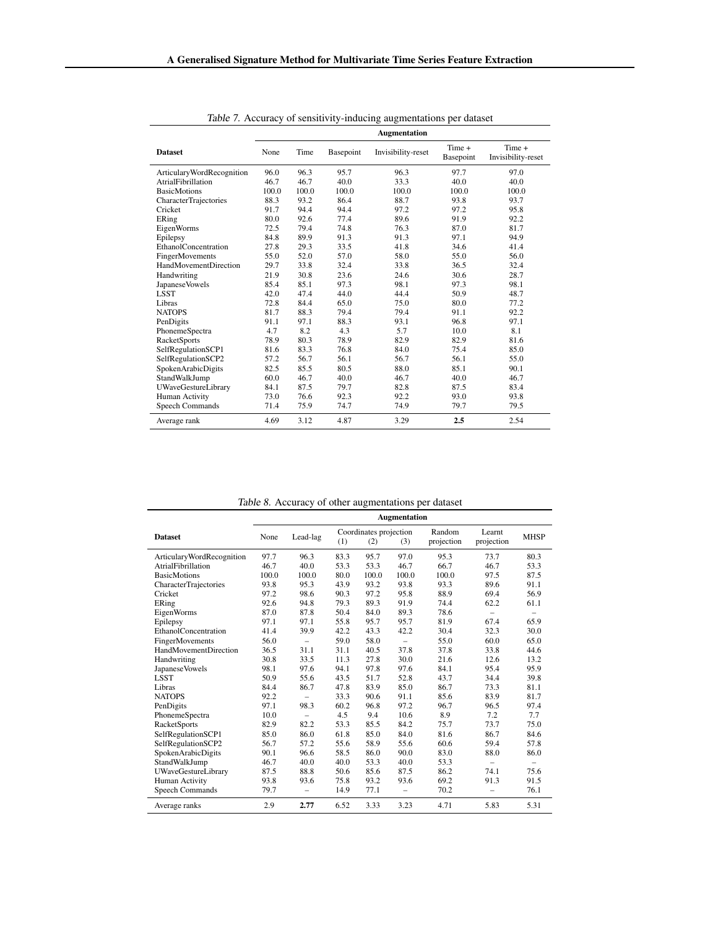<span id="page-18-0"></span>

|                             |       |       |           | <b>Augmentation</b> |                     |                              |
|-----------------------------|-------|-------|-----------|---------------------|---------------------|------------------------------|
| <b>Dataset</b>              | None  | Time  | Basepoint | Invisibility-reset  | Time +<br>Basepoint | Time +<br>Invisibility-reset |
| ArticularyWordRecognition   | 96.0  | 96.3  | 95.7      | 96.3                | 97.7                | 97.0                         |
| AtrialFibrillation          | 46.7  | 46.7  | 40.0      | 33.3                | 40.0                | 40.0                         |
| <b>BasicMotions</b>         | 100.0 | 100.0 | 100.0     | 100.0               | 100.0               | 100.0                        |
| CharacterTrajectories       | 88.3  | 93.2  | 86.4      | 88.7                | 93.8                | 93.7                         |
| Cricket                     | 91.7  | 94.4  | 94.4      | 97.2                | 97.2                | 95.8                         |
| ERing                       | 80.0  | 92.6  | 77.4      | 89.6                | 91.9                | 92.2                         |
| EigenWorms                  | 72.5  | 79.4  | 74.8      | 76.3                | 87.0                | 81.7                         |
| Epilepsy                    | 84.8  | 89.9  | 91.3      | 91.3                | 97.1                | 94.9                         |
| <b>EthanolConcentration</b> | 27.8  | 29.3  | 33.5      | 41.8                | 34.6                | 41.4                         |
| FingerMovements             | 55.0  | 52.0  | 57.0      | 58.0                | 55.0                | 56.0                         |
| HandMovementDirection       | 29.7  | 33.8  | 32.4      | 33.8                | 36.5                | 32.4                         |
| Handwriting                 | 21.9  | 30.8  | 23.6      | 24.6                | 30.6                | 28.7                         |
| Japanese Vowels             | 85.4  | 85.1  | 97.3      | 98.1                | 97.3                | 98.1                         |
| <b>LSST</b>                 | 42.0  | 47.4  | 44.0      | 44.4                | 50.9                | 48.7                         |
| Libras                      | 72.8  | 84.4  | 65.0      | 75.0                | 80.0                | 77.2                         |
| <b>NATOPS</b>               | 81.7  | 88.3  | 79.4      | 79.4                | 91.1                | 92.2                         |
| PenDigits                   | 91.1  | 97.1  | 88.3      | 93.1                | 96.8                | 97.1                         |
| PhonemeSpectra              | 4.7   | 8.2   | 4.3       | 5.7                 | 10.0                | 8.1                          |
| <b>RacketSports</b>         | 78.9  | 80.3  | 78.9      | 82.9                | 82.9                | 81.6                         |
| SelfRegulationSCP1          | 81.6  | 83.3  | 76.8      | 84.0                | 75.4                | 85.0                         |
| SelfRegulationSCP2          | 57.2  | 56.7  | 56.1      | 56.7                | 56.1                | 55.0                         |
| SpokenArabicDigits          | 82.5  | 85.5  | 80.5      | 88.0                | 85.1                | 90.1                         |
| StandWalkJump               | 60.0  | 46.7  | 40.0      | 46.7                | 40.0                | 46.7                         |
| <b>UWaveGestureLibrary</b>  | 84.1  | 87.5  | 79.7      | 82.8                | 87.5                | 83.4                         |
| Human Activity              | 73.0  | 76.6  | 92.3      | 92.2                | 93.0                | 93.8                         |
| <b>Speech Commands</b>      | 71.4  | 75.9  | 74.7      | 74.9                | 79.7                | 79.5                         |
| Average rank                | 4.69  | 3.12  | 4.87      | 3.29                | 2.5                 | 2.54                         |

Table 7. Accuracy of sensitivity-inducing augmentations per dataset

| Table 8. Accuracy of other augmentations per dataset |  |  |
|------------------------------------------------------|--|--|
|                                                      |  |  |

|                              |       |                          |      |                               | Augmentation      | <i>rable 6.</i> Accuracy of other augmentations per dataset |                          |                          |
|------------------------------|-------|--------------------------|------|-------------------------------|-------------------|-------------------------------------------------------------|--------------------------|--------------------------|
| <b>Dataset</b>               | None  | Lead-lag                 | (1)  | Coordinates projection<br>(2) | (3)               | Random<br>projection                                        | Learnt<br>projection     | <b>MHSP</b>              |
| ArticularyWordRecognition    | 97.7  | 96.3                     | 83.3 | 95.7                          | 97.0              | 95.3                                                        | 73.7                     | 80.3                     |
| AtrialFibrillation           | 46.7  | 40.0                     | 53.3 | 53.3                          | 46.7              | 66.7                                                        | 46.7                     | 53.3                     |
| <b>BasicMotions</b>          | 100.0 | 100.0                    | 80.0 | 100.0                         | 100.0             | 100.0                                                       | 97.5                     | 87.5                     |
| <b>CharacterTrajectories</b> | 93.8  | 95.3                     | 43.9 | 93.2                          | 93.8              | 93.3                                                        | 89.6                     | 91.1                     |
| Cricket                      | 97.2  | 98.6                     | 90.3 | 97.2                          | 95.8              | 88.9                                                        | 69.4                     | 56.9                     |
| ERing                        | 92.6  | 94.8                     | 79.3 | 89.3                          | 91.9              | 74.4                                                        | 62.2                     | 61.1                     |
| EigenWorms                   | 87.0  | 87.8                     | 50.4 | 84.0                          | 89.3              | 78.6                                                        | $\overline{\phantom{0}}$ | $\overline{\phantom{0}}$ |
| Epilepsy                     | 97.1  | 97.1                     | 55.8 | 95.7                          | 95.7              | 81.9                                                        | 67.4                     | 65.9                     |
| EthanolConcentration         | 41.4  | 39.9                     | 42.2 | 43.3                          | 42.2              | 30.4                                                        | 32.3                     | 30.0                     |
| FingerMovements              | 56.0  | $\qquad \qquad -$        | 59.0 | 58.0                          |                   | 55.0                                                        | 60.0                     | 65.0                     |
| <b>HandMovementDirection</b> | 36.5  | 31.1                     | 31.1 | 40.5                          | 37.8              | 37.8                                                        | 33.8                     | 44.6                     |
| Handwriting                  | 30.8  | 33.5                     | 11.3 | 27.8                          | 30.0              | 21.6                                                        | 12.6                     | 13.2                     |
| Japanese Vowels              | 98.1  | 97.6                     | 94.1 | 97.8                          | 97.6              | 84.1                                                        | 95.4                     | 95.9                     |
| <b>LSST</b>                  | 50.9  | 55.6                     | 43.5 | 51.7                          | 52.8              | 43.7                                                        | 34.4                     | 39.8                     |
| Libras                       | 84.4  | 86.7                     | 47.8 | 83.9                          | 85.0              | 86.7                                                        | 73.3                     | 81.1                     |
| <b>NATOPS</b>                | 92.2  | $\overline{\phantom{0}}$ | 33.3 | 90.6                          | 91.1              | 85.6                                                        | 83.9                     | 81.7                     |
| PenDigits                    | 97.1  | 98.3                     | 60.2 | 96.8                          | 97.2              | 96.7                                                        | 96.5                     | 97.4                     |
| PhonemeSpectra               | 10.0  | $\qquad \qquad -$        | 4.5  | 9.4                           | 10.6              | 8.9                                                         | 7.2                      | 7.7                      |
| <b>RacketSports</b>          | 82.9  | 82.2                     | 53.3 | 85.5                          | 84.2              | 75.7                                                        | 73.7                     | 75.0                     |
| SelfRegulationSCP1           | 85.0  | 86.0                     | 61.8 | 85.0                          | 84.0              | 81.6                                                        | 86.7                     | 84.6                     |
| SelfRegulationSCP2           | 56.7  | 57.2                     | 55.6 | 58.9                          | 55.6              | 60.6                                                        | 59.4                     | 57.8                     |
| SpokenArabicDigits           | 90.1  | 96.6                     | 58.5 | 86.0                          | 90.0              | 83.0                                                        | 88.0                     | 86.0                     |
| StandWalkJump                | 46.7  | 40.0                     | 40.0 | 53.3                          | 40.0              | 53.3                                                        | $\overline{\phantom{0}}$ | $\overline{\phantom{0}}$ |
| <b>UWaveGestureLibrary</b>   | 87.5  | 88.8                     | 50.6 | 85.6                          | 87.5              | 86.2                                                        | 74.1                     | 75.6                     |
| Human Activity               | 93.8  | 93.6                     | 75.8 | 93.2                          | 93.6              | 69.2                                                        | 91.3                     | 91.5                     |
| Speech Commands              | 79.7  | $\qquad \qquad -$        | 14.9 | 77.1                          | $\qquad \qquad -$ | 70.2                                                        | -                        | 76.1                     |
| Average ranks                | 2.9   | 2.77                     | 6.52 | 3.33                          | 3.23              | 4.71                                                        | 5.83                     | 5.31                     |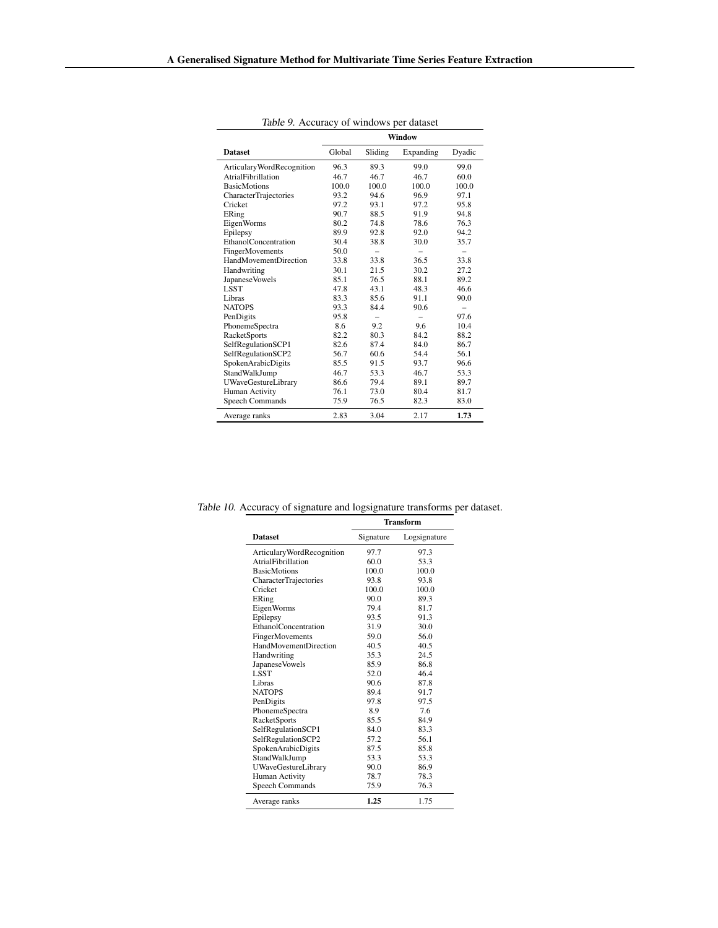<span id="page-19-0"></span>

| <i>raone 5. Treedracy</i> of whiteows per dataset | <b>Window</b> |         |           |        |  |
|---------------------------------------------------|---------------|---------|-----------|--------|--|
| <b>Dataset</b>                                    | Global        | Sliding | Expanding | Dyadic |  |
| ArticularyWordRecognition                         | 96.3          | 89.3    | 99.0      | 99.0   |  |
| <b>AtrialFibrillation</b>                         | 46.7          | 46.7    | 46.7      | 60.0   |  |
| <b>BasicMotions</b>                               | 100.0         | 100.0   | 100.0     | 100.0  |  |
| <b>CharacterTrajectories</b>                      | 93.2          | 94.6    | 96.9      | 97.1   |  |
| Cricket                                           | 97.2          | 93.1    | 97.2      | 95.8   |  |
| ERing                                             | 90.7          | 88.5    | 91.9      | 94.8   |  |
| EigenWorms                                        | 80.2          | 74.8    | 78.6      | 76.3   |  |
| Epilepsy                                          | 89.9          | 92.8    | 92.0      | 94.2   |  |
| EthanolConcentration                              | 30.4          | 38.8    | 30.0      | 35.7   |  |
| FingerMovements                                   | 50.0          | -       | -         | -      |  |
| <b>HandMovementDirection</b>                      | 33.8          | 33.8    | 36.5      | 33.8   |  |
| Handwriting                                       | 30.1          | 21.5    | 30.2      | 27.2   |  |
| Japanese Vowels                                   | 85.1          | 76.5    | 88.1      | 89.2   |  |
| <b>LSST</b>                                       | 47.8          | 43.1    | 48.3      | 46.6   |  |
| Libras                                            | 83.3          | 85.6    | 91.1      | 90.0   |  |
| <b>NATOPS</b>                                     | 93.3          | 84.4    | 90.6      | -      |  |
| PenDigits                                         | 95.8          | -       | -         | 97.6   |  |
| PhonemeSpectra                                    | 8.6           | 9.2     | 9.6       | 10.4   |  |
| <b>RacketSports</b>                               | 82.2          | 80.3    | 84.2      | 88.2   |  |
| SelfRegulationSCP1                                | 82.6          | 87.4    | 84.0      | 86.7   |  |
| SelfRegulationSCP2                                | 56.7          | 60.6    | 54.4      | 56.1   |  |
| SpokenArabicDigits                                | 85.5          | 91.5    | 93.7      | 96.6   |  |
| StandWalkJump                                     | 46.7          | 53.3    | 46.7      | 53.3   |  |
| <b>UWaveGestureLibrary</b>                        | 86.6          | 79.4    | 89.1      | 89.7   |  |
| Human Activity                                    | 76.1          | 73.0    | 80.4      | 81.7   |  |
| <b>Speech Commands</b>                            | 75.9          | 76.5    | 82.3      | 83.0   |  |
| Average ranks                                     | 2.83          | 3.04    | 2.17      | 1.73   |  |

Table 9. Accuracy of windows per dataset

Table 10. Accuracy of signature and logsignature transforms per dataset.

|                              | <b>Transform</b> |              |  |  |
|------------------------------|------------------|--------------|--|--|
| <b>Dataset</b>               | Signature        | Logsignature |  |  |
| ArticularyWordRecognition    | 97.7             | 97.3         |  |  |
| AtrialFibrillation           | 60.0             | 53.3         |  |  |
| <b>BasicMotions</b>          | 100.0            | 100.0        |  |  |
| <b>CharacterTrajectories</b> | 93.8             | 93.8         |  |  |
| Cricket                      | 100.0            | 100.0        |  |  |
| ERing                        | 90.0             | 89.3         |  |  |
| EigenWorms                   | 79.4             | 81.7         |  |  |
| Epilepsy                     | 93.5             | 91.3         |  |  |
| <b>EthanolConcentration</b>  | 31.9             | 30.0         |  |  |
| FingerMovements              | 59.0             | 56.0         |  |  |
| HandMovementDirection        | 40.5             | 40.5         |  |  |
| Handwriting                  | 35.3             | 24.5         |  |  |
| Japanese Vowels              | 85.9             | 86.8         |  |  |
| <b>LSST</b>                  | 52.0             | 46.4         |  |  |
| Libras                       | 90.6             | 87.8         |  |  |
| <b>NATOPS</b>                | 89.4             | 91.7         |  |  |
| PenDigits                    | 97.8             | 97.5         |  |  |
| PhonemeSpectra               | 8.9              | 7.6          |  |  |
| <b>RacketSports</b>          | 85.5             | 84.9         |  |  |
| SelfRegulationSCP1           | 84.0             | 83.3         |  |  |
| SelfRegulationSCP2           | 57.2             | 56.1         |  |  |
| SpokenArabicDigits           | 87.5             | 85.8         |  |  |
| StandWalkJump                | 53.3             | 53.3         |  |  |
| <b>UWaveGestureLibrary</b>   | 90.0             | 86.9         |  |  |
| Human Activity               | 78.7             | 78.3         |  |  |
| Speech Commands              | 75.9             | 76.3         |  |  |
| Average ranks                | 1.25             | 1.75         |  |  |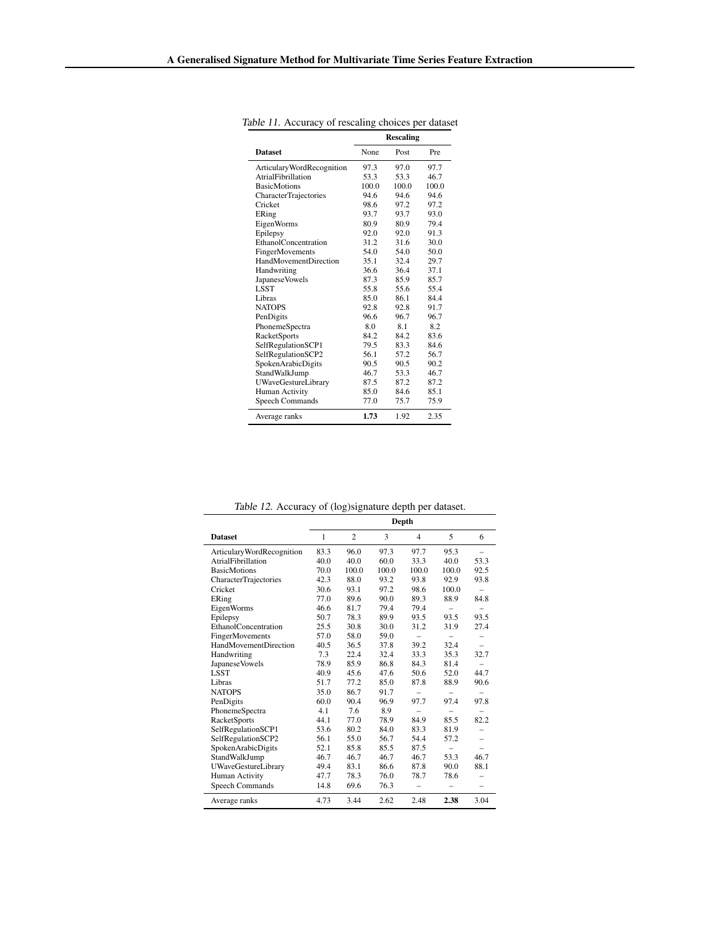|                              | <b>Rescaling</b> |       |            |  |  |
|------------------------------|------------------|-------|------------|--|--|
| <b>Dataset</b>               | None             | Post  | <b>Pre</b> |  |  |
| Articulary Word Recognition  | 97.3             | 97.0  | 97.7       |  |  |
| AtrialFibrillation           | 53.3             | 53.3  | 46.7       |  |  |
| <b>BasicMotions</b>          | 100.0            | 100.0 | 100.0      |  |  |
| <b>CharacterTrajectories</b> | 94.6             | 94.6  | 94.6       |  |  |
| Cricket                      | 98.6             | 97.2  | 97.2       |  |  |
| ERing                        | 93.7             | 93.7  | 93.0       |  |  |
| EigenWorms                   | 80.9             | 80.9  | 79.4       |  |  |
| Epilepsy                     | 92.0             | 92.0  | 91.3       |  |  |
| EthanolConcentration         | 31.2             | 31.6  | 30.0       |  |  |
| FingerMovements              | 54.0             | 54.0  | 50.0       |  |  |
| HandMovementDirection        | 35.1             | 32.4  | 29.7       |  |  |
| Handwriting                  | 36.6             | 36.4  | 37.1       |  |  |
| Japanese Vowels              | 87.3             | 85.9  | 85.7       |  |  |
| <b>LSST</b>                  | 55.8             | 55.6  | 55.4       |  |  |
| Libras                       | 85.0             | 861   | 84.4       |  |  |
| <b>NATOPS</b>                | 92.8             | 92.8  | 91.7       |  |  |
| PenDigits                    | 96.6             | 96.7  | 96.7       |  |  |
| PhonemeSpectra               | 80               | 8.1   | 8.2        |  |  |
| <b>RacketSports</b>          | 84 2             | 84 2  | 836        |  |  |
| SelfRegulationSCP1           | 79.5             | 83.3  | 84.6       |  |  |
| SelfRegulationSCP2           | 561              | 57.2  | 56.7       |  |  |
| SpokenArabicDigits           | 90.5             | 90.5  | 90.2       |  |  |
| StandWalkJump                | 467              | 53.3  | 46.7       |  |  |
| <b>UWaveGestureLibrary</b>   | 87.5             | 87.2  | 87.2       |  |  |
| Human Activity               | 85.0             | 84.6  | 85.1       |  |  |
| Speech Commands              | 77.0             | 75.7  | 75.9       |  |  |
| Average ranks                | 1.73             | 1.92  | 2.35       |  |  |

<span id="page-20-0"></span>Table 11. Accuracy of rescaling choices per dataset

|                            | Depth |                |       |       |                          |                          |
|----------------------------|-------|----------------|-------|-------|--------------------------|--------------------------|
| <b>Dataset</b>             | 1     | $\overline{c}$ | 3     | 4     | 5                        | 6                        |
| ArticularyWordRecognition  | 83.3  | 96.0           | 97.3  | 97.7  | 95.3                     |                          |
| AtrialFibrillation         | 40.0  | 40.0           | 60.0  | 33.3  | 40.0                     | 53.3                     |
| <b>BasicMotions</b>        | 70.0  | 100.0          | 100.0 | 100.0 | 100.0                    | 92.5                     |
| CharacterTrajectories      | 42.3  | 88.0           | 93.2  | 93.8  | 92.9                     | 93.8                     |
| Cricket                    | 30.6  | 93.1           | 97.2  | 98.6  | 100.0                    | -                        |
| ERing                      | 77.0  | 89.6           | 90.0  | 89.3  | 88.9                     | 84.8                     |
| EigenWorms                 | 46.6  | 81.7           | 79.4  | 79.4  | -                        |                          |
| Epilepsy                   | 50.7  | 78.3           | 89.9  | 93.5  | 93.5                     | 93.5                     |
| EthanolConcentration       | 25.5  | 30.8           | 30.0  | 31.2  | 31.9                     | 27.4                     |
| FingerMovements            | 57.0  | 58.0           | 59.0  |       |                          |                          |
| HandMovementDirection      | 40.5  | 36.5           | 37.8  | 39.2  | 32.4                     |                          |
| Handwriting                | 7.3   | 22.4           | 32.4  | 33.3  | 35.3                     | 32.7                     |
| JapaneseVowels             | 78.9  | 85.9           | 86.8  | 84.3  | 81.4                     |                          |
| <b>LSST</b>                | 40.9  | 45.6           | 47.6  | 50.6  | 52.0                     | 44.7                     |
| Libras                     | 51.7  | 77.2           | 85.0  | 87.8  | 88.9                     | 90.6                     |
| <b>NATOPS</b>              | 35.0  | 86.7           | 91.7  |       | $\overline{\phantom{0}}$ | -                        |
| PenDigits                  | 60.0  | 90.4           | 96.9  | 97.7  | 97.4                     | 97.8                     |
| PhonemeSpectra             | 4.1   | 7.6            | 8.9   |       |                          |                          |
| <b>RacketSports</b>        | 44.1  | 77.0           | 78.9  | 84.9  | 85.5                     | 82.2                     |
| SelfRegulationSCP1         | 53.6  | 80.2           | 84.0  | 83.3  | 81.9                     |                          |
| SelfRegulationSCP2         | 56.1  | 55.0           | 56.7  | 54.4  | 57.2                     | -                        |
| SpokenArabicDigits         | 52.1  | 85.8           | 85.5  | 87.5  |                          |                          |
| StandWalkJump              | 46.7  | 46.7           | 46.7  | 46.7  | 53.3                     | 46.7                     |
| <b>UWaveGestureLibrary</b> | 49.4  | 83.1           | 86.6  | 87.8  | 90.0                     | 88.1                     |
| Human Activity             | 47.7  | 78.3           | 76.0  | 78.7  | 78.6                     |                          |
| Speech Commands            | 14.8  | 69.6           | 76.3  | -     | -                        | $\overline{\phantom{0}}$ |
| Average ranks              | 4.73  | 3.44           | 2.62  | 2.48  | 2.38                     | 3.04                     |

Table 12. Accuracy of (log)signature depth per dataset.